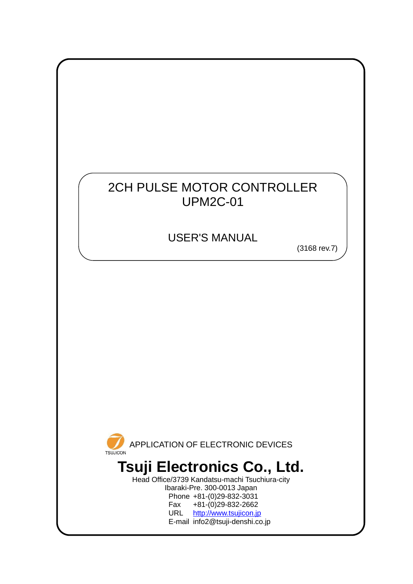## 2CH PULSE MOTOR CONTROLLER UPM2C-01

USER'S MANUAL

(3168 rev.7)



Head Office/3739 Kandatsu-machi Tsuchiura-city Ibaraki-Pre. 300-0013 Japan Phone +81-(0)29-832-3031 Fax +81-(0)29-832-2662<br>URL http://www.tsujicon.in [http://www.tsujicon.jp](http://www.tsujicon.jp/) E-mail info2@tsuji-denshi.co.jp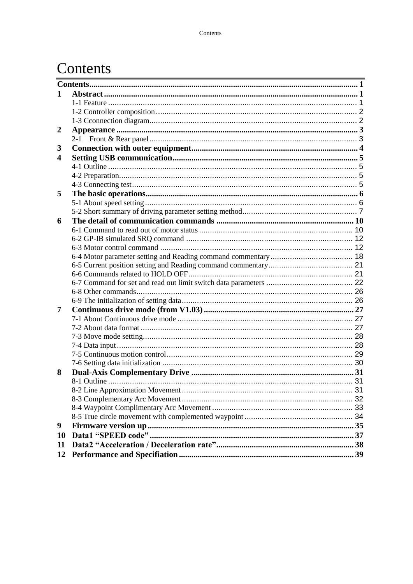## <span id="page-1-0"></span>Contents

| 1                    |  |
|----------------------|--|
|                      |  |
|                      |  |
|                      |  |
| 2                    |  |
|                      |  |
| 3                    |  |
| $\blacktriangleleft$ |  |
|                      |  |
|                      |  |
|                      |  |
| 5                    |  |
|                      |  |
|                      |  |
| 6                    |  |
|                      |  |
|                      |  |
|                      |  |
|                      |  |
|                      |  |
|                      |  |
|                      |  |
|                      |  |
|                      |  |
| 7                    |  |
|                      |  |
|                      |  |
|                      |  |
|                      |  |
|                      |  |
|                      |  |
| 8                    |  |
|                      |  |
|                      |  |
|                      |  |
|                      |  |
|                      |  |
| 9                    |  |
| <b>10</b>            |  |
| 11                   |  |
| 12                   |  |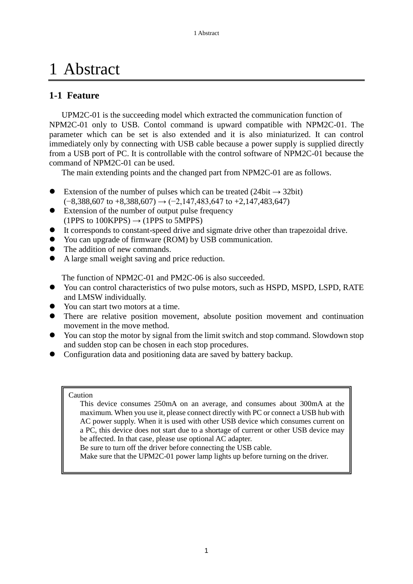# <span id="page-2-0"></span>1 Abstract

## <span id="page-2-1"></span>**1-1 Feature**

UPM2C-01 is the succeeding model which extracted the communication function of NPM2C-01 only to USB. Contol command is upward compatible with NPM2C-01. The parameter which can be set is also extended and it is also miniaturized. It can control immediately only by connecting with USB cable because a power supply is supplied directly from a USB port of PC. It is controllable with the control software of NPM2C-01 because the command of NPM2C-01 can be used.

The main extending points and the changed part from NPM2C-01 are as follows.

- Extension of the number of pulses which can be treated (24bit  $\rightarrow$  32bit)  $(-8,388,607 \text{ to } +8,388,607) \rightarrow (-2,147,483,647 \text{ to } +2,147,483,647)$
- Extension of the number of output pulse frequency (1PPS to 100KPPS)  $\rightarrow$  (1PPS to 5MPPS)
- It corresponds to constant-speed drive and sigmate drive other than trapezoidal drive.
- You can upgrade of firmware (ROM) by USB communication.
- The addition of new commands.
- A large small weight saving and price reduction.

The function of NPM2C-01 and PM2C-06 is also succeeded.

- You can control characteristics of two pulse motors, such as HSPD, MSPD, LSPD, RATE and LMSW individually.
- You can start two motors at a time.
- There are relative position movement, absolute position movement and continuation movement in the move method.
- You can stop the motor by signal from the limit switch and stop command. Slowdown stop and sudden stop can be chosen in each stop procedures.
- Configuration data and positioning data are saved by battery backup.

#### Caution

 This device consumes 250mA on an average, and consumes about 300mA at the maximum. When you use it, please connect directly with PC or connect a USB hub with AC power supply. When it is used with other USB device which consumes current on a PC, this device does not start due to a shortage of current or other USB device may be affected. In that case, please use optional AC adapter.

Be sure to turn off the driver before connecting the USB cable.

Make sure that the UPM2C-01 power lamp lights up before turning on the driver.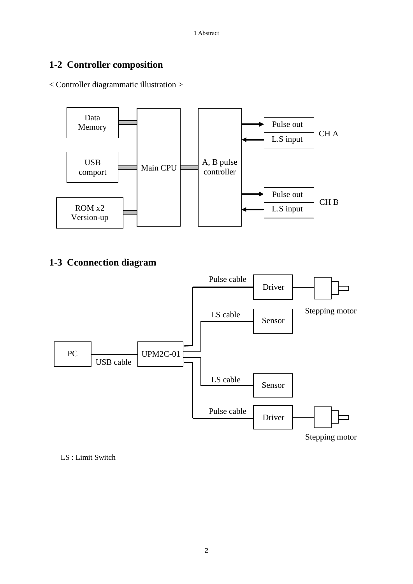## <span id="page-3-0"></span>**1-2 Controller composition**

< Controller diagrammatic illustration >



<span id="page-3-1"></span>**1-3 Cconnection diagram**



LS : Limit Switch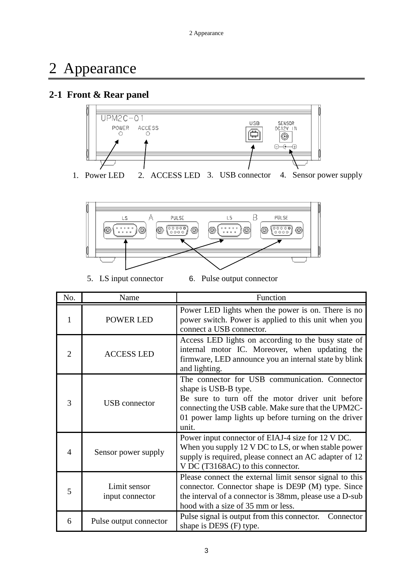## <span id="page-4-0"></span>2 Appearance

### <span id="page-4-1"></span>**2-1 Front & Rear panel**



1. Power LED 2. ACCESS LED 3. USB connector 4. Sensor power supply



5. LS input connector 6. Pulse output connector

| No.            | Name                            | Function                                                                                                                                                                                                                                           |  |
|----------------|---------------------------------|----------------------------------------------------------------------------------------------------------------------------------------------------------------------------------------------------------------------------------------------------|--|
| 1              | <b>POWER LED</b>                | Power LED lights when the power is on. There is no<br>power switch. Power is applied to this unit when you<br>connect a USB connector.                                                                                                             |  |
| $\mathfrak{D}$ | <b>ACCESS LED</b>               | Access LED lights on according to the busy state of<br>internal motor IC. Moreover, when updating the<br>firmware, LED announce you an internal state by blink<br>and lighting.                                                                    |  |
| 3              | USB connector                   | The connector for USB communication. Connector<br>shape is USB-B type.<br>Be sure to turn off the motor driver unit before<br>connecting the USB cable. Make sure that the UPM2C-<br>01 power lamp lights up before turning on the driver<br>unit. |  |
| 4              | Sensor power supply             | Power input connector of EIAJ-4 size for 12 V DC.<br>When you supply 12 V DC to LS, or when stable power<br>supply is required, please connect an AC adapter of 12<br>V DC (T3168AC) to this connector.                                            |  |
| 5              | Limit sensor<br>input connector | Please connect the external limit sensor signal to this<br>connector. Connector shape is DE9P (M) type. Since<br>the interval of a connector is 38mm, please use a D-sub<br>hood with a size of 35 mm or less.                                     |  |
| 6              | Pulse output connector          | Pulse signal is output from this connector.<br>Connector<br>shape is DE9S (F) type.                                                                                                                                                                |  |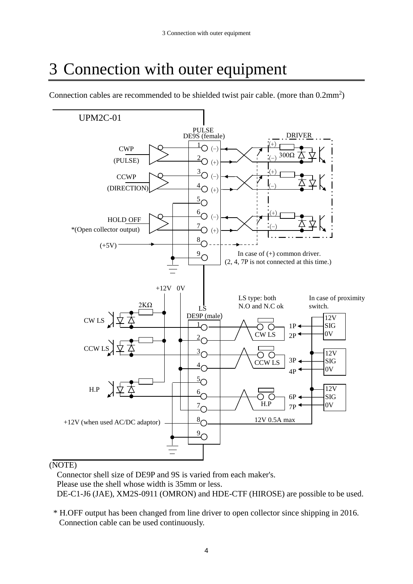# <span id="page-5-0"></span>3 Connection with outer equipment

UPM2C-01 PULSE DE9S (female) DRIVER  $^{\underline{1}}$ O (-)  $^{(+)}$ CWP 300Ω  $^{2}$ O (+) (-) (PULSE)  $\frac{3}{2}O(-)$  $^{(+)}$ **CCWP**  $^{4}$ O (+)  $(-)$ (DIRECTION)  $\frac{5}{2}$ O  $^{6}$ O (-)  $^{(+)}$ HOLD OFF  $^{7}$ O (+)  $(-)$ \*(Open collector output) $\frac{8}{2}$ O  $(+5V)$  $\frac{9}{2}$ O In case of (+) common driver. (2, 4, 7P is not connected at this time.) +12V 0V LS type: both In case of proximity 2KΩ N.O and N.C ok switch. LS DE9P (male) CW LS 12V  $\frac{1}{\sqrt{2}}$ SIG 1P ОΟ  $2P \leftarrow 0V$ CW LS  $\frac{2}{\bigcap}$ CCW L  $\frac{3}{2}$ 12V ОΟ 3P SIG CCW LS  $\frac{4}{2}$ C  $_{4P}$   $\leftarrow$  0V  $\frac{5}{2}$  $\frac{6}{5}$ 12V H.P 6P SIG H.P  $7P \leftarrow 0V$  $\frac{7}{2}$  $\frac{8}{2}$ 12V 0.5A max +12V (when used AC/DC adaptor)  $\sqrt{9}$ 

Connection cables are recommended to be shielded twist pair cable. (more than  $0.2 \text{mm}^2$ )

#### (NOTE)

Connector shell size of DE9P and 9S is varied from each maker's. Please use the shell whose width is 35mm or less. DE-C1-J6 (JAE), XM2S-0911 (OMRON) and HDE-CTF (HIROSE) are possible to be used.

\* H.OFF output has been changed from line driver to open collector since shipping in 2016. Connection cable can be used continuously.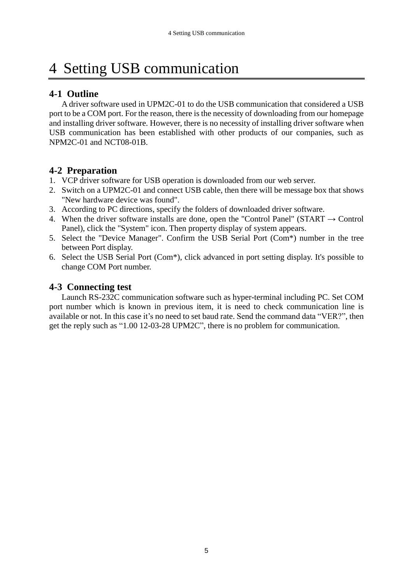# <span id="page-6-0"></span>4 Setting USB communication

## <span id="page-6-1"></span>**4-1 Outline**

A driver software used in UPM2C-01 to do the USB communication that considered a USB port to be a COM port. For the reason, there is the necessity of downloading from our homepage and installing driver software. However, there is no necessity of installing driver software when USB communication has been established with other products of our companies, such as NPM2C-01 and NCT08-01B.

## <span id="page-6-2"></span>**4-2 Preparation**

- 1. VCP driver software for USB operation is downloaded from our web server.
- 2. Switch on a UPM2C-01 and connect USB cable, then there will be message box that shows "New hardware device was found".
- 3. According to PC directions, specify the folders of downloaded driver software.
- 4. When the driver software installs are done, open the "Control Panel" (START  $\rightarrow$  Control Panel), click the "System" icon. Then property display of system appears.
- 5. Select the "Device Manager". Confirm the USB Serial Port (Com\*) number in the tree between Port display.
- 6. Select the USB Serial Port (Com\*), click advanced in port setting display. It's possible to change COM Port number.

## <span id="page-6-3"></span>**4-3 Connecting test**

Launch RS-232C communication software such as hyper-terminal including PC. Set COM port number which is known in previous item, it is need to check communication line is available or not. In this case it's no need to set baud rate. Send the command data "VER?", then get the reply such as "1.00 12-03-28 UPM2C", there is no problem for communication.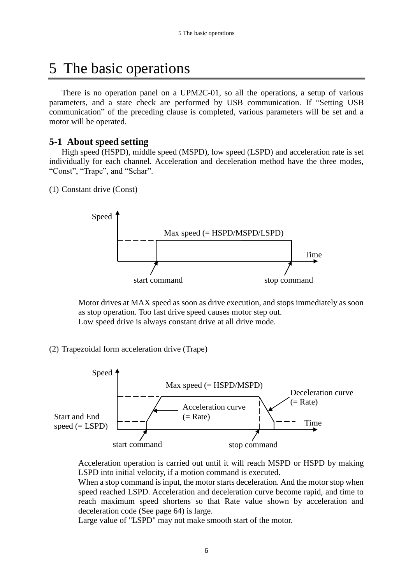## <span id="page-7-0"></span>5 The basic operations

There is no operation panel on a UPM2C-01, so all the operations, a setup of various parameters, and a state check are performed by USB communication. If "Setting USB communication" of the preceding clause is completed, various parameters will be set and a motor will be operated.

#### <span id="page-7-1"></span>**5-1 About speed setting**

High speed (HSPD), middle speed (MSPD), low speed (LSPD) and acceleration rate is set individually for each channel. Acceleration and deceleration method have the three modes, "Const", "Trape", and "Schar".

(1) Constant drive (Const)



Motor drives at MAX speed as soon as drive execution, and stops immediately as soon as stop operation. Too fast drive speed causes motor step out. Low speed drive is always constant drive at all drive mode.

(2) Trapezoidal form acceleration drive (Trape)



Acceleration operation is carried out until it will reach MSPD or HSPD by making LSPD into initial velocity, if a motion command is executed.

When a stop command is input, the motor starts deceleration. And the motor stop when speed reached LSPD. Acceleration and deceleration curve become rapid, and time to reach maximum speed shortens so that Rate value shown by acceleration and deceleration code (See page 64) is large.

Large value of "LSPD" may not make smooth start of the motor.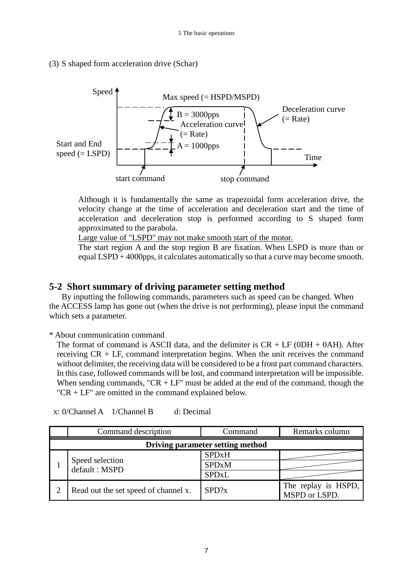#### (3) S shaped form acceleration drive (Schar)



Although it is fundamentally the same as trapezoidal form acceleration drive, the velocity change at the time of acceleration and deceleration start and the time of acceleration and deceleration stop is performed according to S shaped form approximated to the parabola.

Large value of "LSPD" may not make smooth start of the motor.

The start region A and the stop region B are fixation. When LSPD is more than or equal LSPD + 4000pps, it calculates automatically so that a curve may become smooth.

#### <span id="page-8-0"></span>**5-2 Short summary of driving parameter setting method**

By inputting the following commands, parameters such as speed can be changed. When the ACCESS lamp has gone out (when the drive is not performing), please input the command which sets a parameter.

\* About communication command

The format of command is ASCII data, and the delimiter is  $CR + LF$  (0DH + 0AH). After receiving CR + LF, command interpretation begins. When the unit receives the command without delimiter, the receiving data will be considered to be a front part command characters. In this case, followed commands will be lost, and command interpretation will be impossible. When sending commands, " $CR + LF$ " must be added at the end of the command, though the "CR + LF" are omitted in the command explained below.

| Command description                  | Command      | Remarks column                       |  |  |
|--------------------------------------|--------------|--------------------------------------|--|--|
| Driving parameter setting method     |              |                                      |  |  |
|                                      | <b>SPDxH</b> |                                      |  |  |
| Speed selection<br>default: MSPD     | <b>SPDxM</b> |                                      |  |  |
|                                      | <b>SPDxL</b> |                                      |  |  |
| Read out the set speed of channel x. | SPD?x        | The replay is HSPD,<br>MSPD or LSPD. |  |  |

x: 0/Channel A 1/Channel B d: Decimal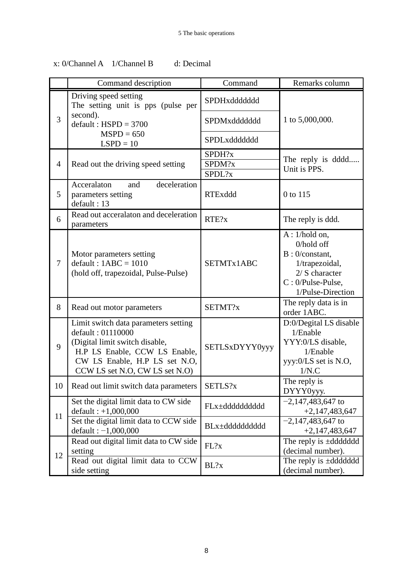|                | Command description                                                                                                                                                                             | Command                    | Remarks column                                                                                                                   |
|----------------|-------------------------------------------------------------------------------------------------------------------------------------------------------------------------------------------------|----------------------------|----------------------------------------------------------------------------------------------------------------------------------|
|                | Driving speed setting<br>The setting unit is pps (pulse per                                                                                                                                     | SPDHxddddddd               |                                                                                                                                  |
| 3              | second).<br>$default : HSPD = 3700$                                                                                                                                                             | SPDMxddddddd               | 1 to 5,000,000.                                                                                                                  |
|                | $MSPD = 650$<br>$LSPD = 10$                                                                                                                                                                     | SPDLxddddddd               |                                                                                                                                  |
| $\overline{4}$ | Read out the driving speed setting                                                                                                                                                              | SPDH?x<br>SPDM?x<br>SPDL?x | The reply is dddd<br>Unit is PPS.                                                                                                |
| 5              | Acceralaton<br>deceleration<br>and<br>parameters setting<br>default: 13                                                                                                                         | <b>RTExddd</b>             | 0 to 115                                                                                                                         |
| 6              | Read out acceralaton and deceleration<br>parameters                                                                                                                                             | RTE?x                      | The reply is ddd.                                                                                                                |
| $\overline{7}$ | Motor parameters setting<br>$default: 1ABC = 1010$<br>(hold off, trapezoidal, Pulse-Pulse)                                                                                                      | SETMTx1ABC                 | A: 1/hold on,<br>0/hold off<br>$B: 0$ /constant,<br>1/trapezoidal,<br>$2/$ S character<br>C: 0/Pulse-Pulse,<br>1/Pulse-Direction |
| 8              | Read out motor parameters                                                                                                                                                                       | SETMT?x                    | The reply data is in<br>order 1ABC.                                                                                              |
| 9              | Limit switch data parameters setting<br>default: 01110000<br>(Digital limit switch disable,<br>H.P LS Enable, CCW LS Enable,<br>CW LS Enable, H.P LS set N.O.<br>CCW LS set N.O, CW LS set N.O) | <b>SETLSxDYYY0yyy</b>      | D:0/Degital LS disable<br>1/Enable<br>YYY:0/LS disable,<br>1/Enable<br>yyy:0/LS set is N.O,<br>1/N.C                             |
| 10             | Read out limit switch data parameters                                                                                                                                                           | SETLS?x                    | The reply is<br>DYYY0yyy.                                                                                                        |
| 11             | Set the digital limit data to CW side<br>$default: +1,000,000$                                                                                                                                  | FLx±dddddddddd             | $-2,147,483,647$ to<br>$+2,147,483,647$                                                                                          |
|                | Set the digital limit data to CCW side<br>default: $-1,000,000$                                                                                                                                 | BLx±dddddddddd             | $-2,147,483,647$ to<br>$+2,147,483,647$                                                                                          |
|                | Read out digital limit data to CW side<br>setting                                                                                                                                               | FL?x                       | The reply is ±ddddddd<br>(decimal number).                                                                                       |
| 12             | Read out digital limit data to CCW<br>side setting                                                                                                                                              | BL?x                       | The reply is ±ddddddd<br>(decimal number).                                                                                       |

## x: 0/Channel A 1/Channel B d: Decimal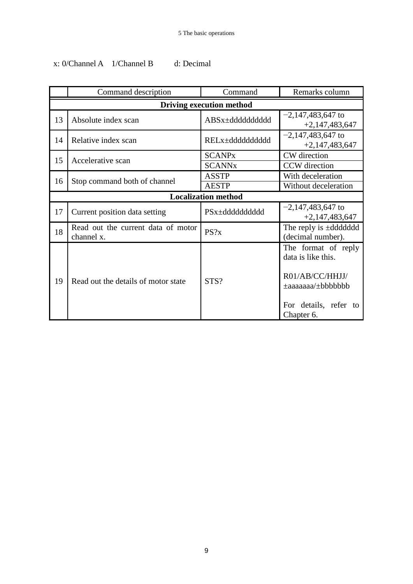## x: 0/Channel A 1/Channel B d: Decimal

|                                 | Command description                              | Command                  | Remarks column                                                                                                                     |  |
|---------------------------------|--------------------------------------------------|--------------------------|------------------------------------------------------------------------------------------------------------------------------------|--|
| <b>Driving execution method</b> |                                                  |                          |                                                                                                                                    |  |
| 13                              | Absolute index scan                              | ABSx±dddddddddd          | $-2,147,483,647$ to<br>$+2,147,483,647$                                                                                            |  |
| 14                              | Relative index scan                              | RELx±ddddddddd           | $-2,147,483,647$ to<br>$+2,147,483,647$                                                                                            |  |
| 15                              | Accelerative scan                                | <b>SCANPx</b>            | CW direction                                                                                                                       |  |
|                                 |                                                  | <b>SCANN<sub>x</sub></b> | CCW direction                                                                                                                      |  |
| 16                              |                                                  | <b>ASSTP</b>             | With deceleration                                                                                                                  |  |
|                                 | Stop command both of channel                     | <b>AESTP</b>             | Without deceleration                                                                                                               |  |
|                                 | <b>Localization method</b>                       |                          |                                                                                                                                    |  |
| 17                              | Current position data setting                    | PSx±dddddddddd           | $-2,147,483,647$ to<br>$+2,147,483,647$                                                                                            |  |
| 18                              | Read out the current data of motor<br>channel x. | PS?x                     | The reply is ±ddddddd<br>(decimal number).                                                                                         |  |
| 19                              | Read out the details of motor state              | STS?                     | The format of reply<br>data is like this.<br>R01/AB/CC/HHJJ/<br>$\pm$ aaaaaaa $\pm$ bbbbbbb<br>For details, refer to<br>Chapter 6. |  |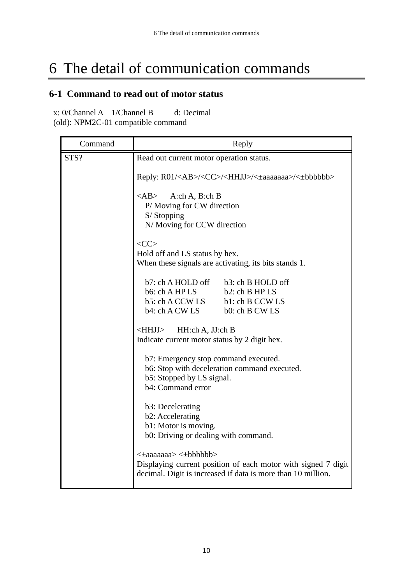## <span id="page-11-0"></span>6 The detail of communication commands

## <span id="page-11-1"></span>**6-1 Command to read out of motor status**

| Command | Reply                                                                                                                                                |  |
|---------|------------------------------------------------------------------------------------------------------------------------------------------------------|--|
| STS?    | Read out current motor operation status.                                                                                                             |  |
|         | Reply: R01/ <ab>/<cc>/<hhjj>/&lt;±aaaaaaaa&gt;/&lt;±bbbbbb&gt;</hhjj></cc></ab>                                                                      |  |
|         | <ab><br/>A:ch A, B:ch B<br/>P/ Moving for CW direction<br/>S/Stopping<br/>N/ Moving for CCW direction</ab>                                           |  |
|         | $\langle CC \rangle$<br>Hold off and LS status by hex.<br>When these signals are activating, its bits stands 1.                                      |  |
|         | b7: ch A HOLD off<br>b3: ch B HOLD off<br>b6: ch A HP LS<br>b2: ch B HP LS<br>b5: ch A CCW LS<br>b1: ch B CCW LS<br>b4: ch A CW LS<br>b0: ch B CW LS |  |
|         | $\le$ HHJJ $>$<br>HH:ch A, JJ:ch B<br>Indicate current motor status by 2 digit hex.                                                                  |  |
|         | b7: Emergency stop command executed.<br>b6: Stop with deceleration command executed.<br>b5: Stopped by LS signal.<br>b4: Command error               |  |
|         | b3: Decelerating<br>b2: Accelerating<br>b1: Motor is moving.<br>b0: Driving or dealing with command.                                                 |  |
|         | < bbbbb>> < $\leq$<br>Displaying current position of each motor with signed 7 digit<br>decimal. Digit is increased if data is more than 10 million.  |  |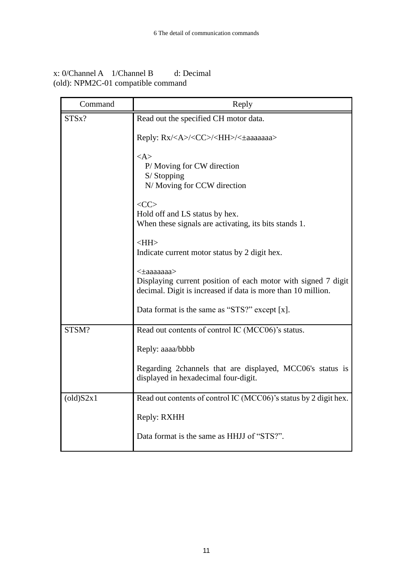| Command              | Reply                                                                                                                                       |
|----------------------|---------------------------------------------------------------------------------------------------------------------------------------------|
| STS <sub>x</sub> ?   | Read out the specified CH motor data.                                                                                                       |
|                      | Reply: Rx/ <a>/<cc>/<hh>/&lt;±aaaaaaa&gt;</hh></cc></a>                                                                                     |
|                      | $<\!\!A\!\!>$<br>P/ Moving for CW direction<br>S/Stopping<br>N/ Moving for CCW direction                                                    |
|                      | $<$ CC $>$<br>Hold off and LS status by hex.<br>When these signals are activating, its bits stands 1.                                       |
|                      | $\leq$ HH $>$<br>Indicate current motor status by 2 digit hex.                                                                              |
|                      | <±aaaaaaa><br>Displaying current position of each motor with signed 7 digit<br>decimal. Digit is increased if data is more than 10 million. |
|                      | Data format is the same as "STS?" except [x].                                                                                               |
| STSM?                | Read out contents of control IC (MCC06)'s status.                                                                                           |
|                      | Reply: aaaa/bbbb                                                                                                                            |
|                      | Regarding 2channels that are displayed, MCC06's status is<br>displayed in hexadecimal four-digit.                                           |
| $\left($ old) $S2x1$ | Read out contents of control IC (MCC06)'s status by 2 digit hex.                                                                            |
|                      | Reply: RXHH                                                                                                                                 |
|                      | Data format is the same as HHJJ of "STS?".                                                                                                  |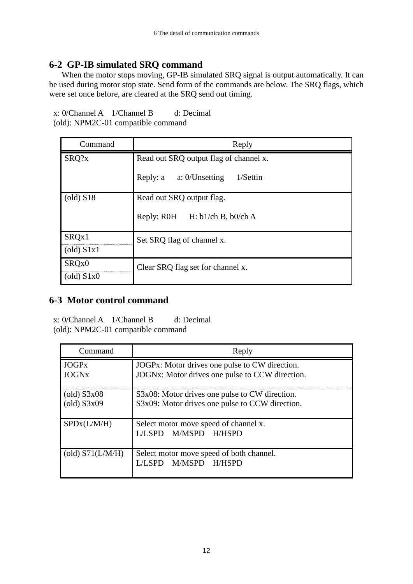## <span id="page-13-0"></span>**6-2 GP-IB simulated SRQ command**

When the motor stops moving, GP-IB simulated SRQ signal is output automatically. It can be used during motor stop state. Send form of the commands are below. The SRQ flags, which were set once before, are cleared at the SRQ send out timing.

x: 0/Channel A 1/Channel B d: Decimal (old): NPM2C-01 compatible command

| Command                          | Reply                                  |
|----------------------------------|----------------------------------------|
| SRQ?x                            | Read out SRQ output flag of channel x. |
|                                  | Reply: a a: 0/Unsetting<br>$1/S$ ettin |
| $\left($ old $\right)$ S18       | Read out SRQ output flag.              |
|                                  | Reply: R0H H: b1/ch B, b0/ch A         |
| SRQx1                            | Set SRQ flag of channel x.             |
| $\left($ old $\right)$ S1x1      |                                        |
| SRQ <sub>x0</sub>                | Clear SRQ flag set for channel x.      |
| $\left( \text{old} \right)$ S1x0 |                                        |

## <span id="page-13-1"></span>**6-3 Motor control command**

| Command                                                                | Reply                                                                                             |  |
|------------------------------------------------------------------------|---------------------------------------------------------------------------------------------------|--|
| <b>JOGPx</b><br><b>JOGN<sub>x</sub></b>                                | JOGPx: Motor drives one pulse to CW direction.<br>JOGNx: Motor drives one pulse to CCW direction. |  |
| $\left( \text{old} \right)$ S3x08<br>$\left( \text{old} \right)$ S3x09 | S3x08: Motor drives one pulse to CW direction.<br>S3x09: Motor drives one pulse to CCW direction. |  |
| SPDx(L/M/H)                                                            | Select motor move speed of channel x.<br>L/LSPD M/MSPD H/HSPD                                     |  |
| (old) $S71(L/M/H)$                                                     | Select motor move speed of both channel.<br>M/MSPD H/HSPD                                         |  |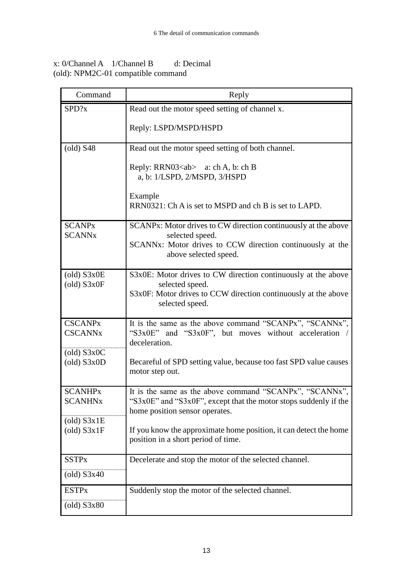| Command                                                                | Reply                                                                                                                                                                 |
|------------------------------------------------------------------------|-----------------------------------------------------------------------------------------------------------------------------------------------------------------------|
| SPD?x                                                                  | Read out the motor speed setting of channel x.                                                                                                                        |
|                                                                        | Reply: LSPD/MSPD/HSPD                                                                                                                                                 |
| $\left( \text{old} \right)$ S48                                        | Read out the motor speed setting of both channel.                                                                                                                     |
|                                                                        | Reply: RRN03 <ab> <math>a: ch A, b: ch B</math><br/>a, b: 1/LSPD, 2/MSPD, 3/HSPD</ab>                                                                                 |
|                                                                        | Example<br>RRN0321: Ch A is set to MSPD and ch B is set to LAPD.                                                                                                      |
| <b>SCANPx</b><br><b>SCANN<sub>x</sub></b>                              | SCANPx: Motor drives to CW direction continuously at the above<br>selected speed.                                                                                     |
|                                                                        | SCANNx: Motor drives to CCW direction continuously at the<br>above selected speed.                                                                                    |
| $\text{(old)}$ S3x0E<br>$\text{(old)}$ S3x0F                           | S3x0E: Motor drives to CW direction continuously at the above<br>selected speed.<br>S3x0F: Motor drives to CCW direction continuously at the above<br>selected speed. |
| <b>CSCANPx</b><br><b>CSCANNx</b>                                       | It is the same as the above command "SCANPx", "SCANNx",<br>"S3x0E" and "S3x0F", but moves without acceleration /<br>deceleration.                                     |
| $\left( \text{old} \right)$ S3x0C<br>$\text{(old) }$ S3x0D             | Becareful of SPD setting value, because too fast SPD value causes<br>motor step out.                                                                                  |
| <b>SCANHPx</b><br><b>SCANHNx</b>                                       | It is the same as the above command "SCANPx", "SCANNx",<br>"S3x0E" and "S3x0F", except that the motor stops suddenly if the<br>home position sensor operates.         |
| $\left( \text{old} \right)$ S3x1E<br>$\left( \text{old} \right)$ S3x1F | If you know the approximate home position, it can detect the home<br>position in a short period of time.                                                              |
| <b>SSTPx</b>                                                           | Decelerate and stop the motor of the selected channel.                                                                                                                |
| $\left( \text{old} \right)$ S3x40                                      |                                                                                                                                                                       |
| <b>ESTPx</b>                                                           | Suddenly stop the motor of the selected channel.                                                                                                                      |
| $\left( \text{old} \right)$ S3x80                                      |                                                                                                                                                                       |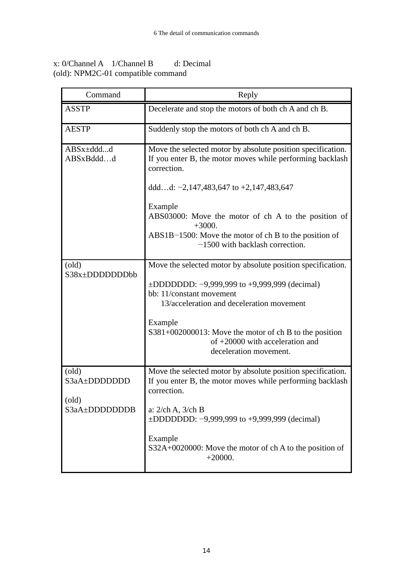| Command                                 | Reply                                                                                                                                                                    |  |
|-----------------------------------------|--------------------------------------------------------------------------------------------------------------------------------------------------------------------------|--|
| <b>ASSTP</b>                            | Decelerate and stop the motors of both ch A and ch B.                                                                                                                    |  |
| <b>AESTP</b>                            | Suddenly stop the motors of both ch A and ch B.                                                                                                                          |  |
| ABSx±dddd<br>ABSxBdddd                  | Move the selected motor by absolute position specification.<br>If you enter B, the motor moves while performing backlash<br>correction.                                  |  |
|                                         | dddd: $-2,147,483,647$ to $+2,147,483,647$                                                                                                                               |  |
|                                         | Example<br>ABS03000: Move the motor of ch A to the position of<br>$+3000.$<br>ABS1B-1500: Move the motor of ch B to the position of<br>$-1500$ with backlash correction. |  |
| $\text{(old)}$                          | Move the selected motor by absolute position specification.                                                                                                              |  |
| S38x±DDDDDDDbb                          | $\pm$ DDDDDD: -9,999,999 to +9,999,999 (decimal)<br>bb: 11/constant movement<br>13/acceleration and deceleration movement                                                |  |
|                                         | Example<br>$S381+002000013$ : Move the motor of ch B to the position<br>of $+20000$ with acceleration and<br>deceleration movement.                                      |  |
| $\text{(old)}$<br>S3aA±DDDDDDD          | Move the selected motor by absolute position specification.<br>If you enter B, the motor moves while performing backlash<br>correction.                                  |  |
| $\left($ old $\right)$<br>S3aA±DDDDDDDB | a: $2$ /ch A, $3$ /ch B<br>$\pm$ DDDDDD: -9,999,999 to +9,999,999 (decimal)                                                                                              |  |
|                                         | Example<br>S32A+0020000: Move the motor of ch A to the position of<br>$+20000.$                                                                                          |  |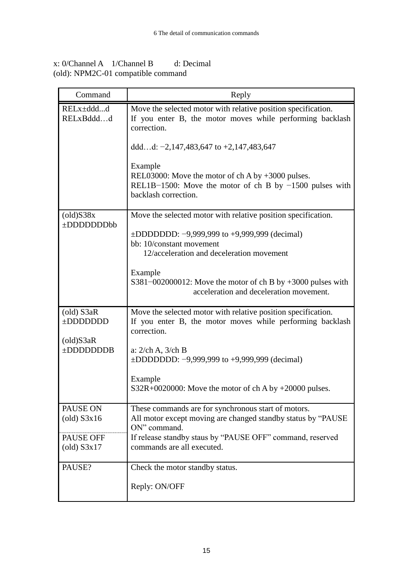| x: 0/Channel A                     | 1/Channel B | d: Decimal |
|------------------------------------|-------------|------------|
| (old): NPM2C-01 compatible command |             |            |

| Command                                        | Reply                                                                                                                                                                                      |
|------------------------------------------------|--------------------------------------------------------------------------------------------------------------------------------------------------------------------------------------------|
| RELx±dddd<br>RELxBdddd                         | Move the selected motor with relative position specification.<br>If you enter B, the motor moves while performing backlash<br>correction.<br>dddd: $-2,147,483,647$ to $+2,147,483,647$    |
|                                                | Example<br>REL03000: Move the motor of ch A by $+3000$ pulses.<br>REL1B-1500: Move the motor of ch B by $-1500$ pulses with<br>backlash correction.                                        |
| $\left($ old) $S38x$<br>±DDDDDDDbb             | Move the selected motor with relative position specification.<br>$\pm$ DDDDDD: -9,999,999 to +9,999,999 (decimal)<br>bb: 10/constant movement<br>12/acceleration and deceleration movement |
|                                                | Example<br>S381-002000012: Move the motor of ch B by $+3000$ pulses with<br>acceleration and deceleration movement.                                                                        |
| (old) S3aR<br>±DDDDDDD<br>$\text{(old)}$ S3aR  | Move the selected motor with relative position specification.<br>If you enter B, the motor moves while performing backlash<br>correction.                                                  |
| $\pm$ DDDDDDDB                                 | a: $2$ /ch A, $3$ /ch B<br>$\pm$ DDDDDD: -9,999,999 to +9,999,999 (decimal)                                                                                                                |
|                                                | Example<br>$S32R+0020000$ : Move the motor of ch A by $+20000$ pulses.                                                                                                                     |
| PAUSE ON<br>$\left( \text{old} \right)$ S3x16  | These commands are for synchronous start of motors.<br>All motor except moving are changed standby status by "PAUSE<br>ON" command.                                                        |
| PAUSE OFF<br>$\left( \text{old} \right)$ S3x17 | If release standby staus by "PAUSE OFF" command, reserved<br>commands are all executed.                                                                                                    |
| PAUSE?                                         | Check the motor standby status.<br>Reply: ON/OFF                                                                                                                                           |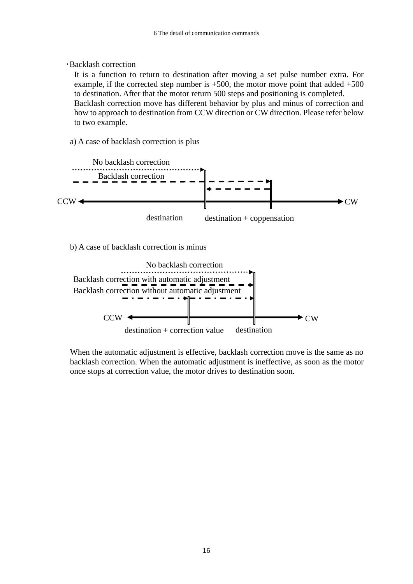#### ・Backlash correction

 It is a function to return to destination after moving a set pulse number extra. For example, if the corrected step number is  $+500$ , the motor move point that added  $+500$ to destination. After that the motor return 500 steps and positioning is completed.

 Backlash correction move has different behavior by plus and minus of correction and how to approach to destination from CCW direction or CW direction. Please refer below to two example.

a) A case of backlash correction is plus



b) A case of backlash correction is minus



 When the automatic adjustment is effective, backlash correction move is the same as no backlash correction. When the automatic adjustment is ineffective, as soon as the motor once stops at correction value, the motor drives to destination soon.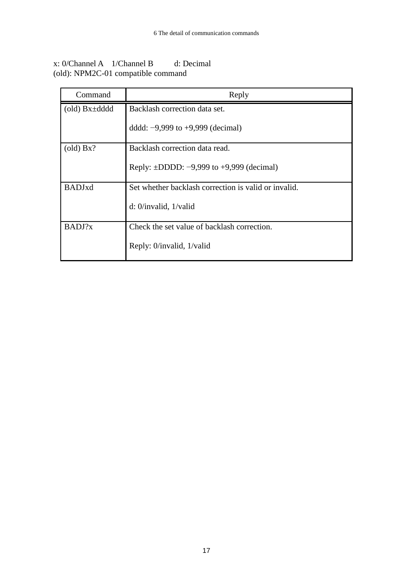| Command                                   | Reply                                                |
|-------------------------------------------|------------------------------------------------------|
| $\left( \text{old} \right)$ Bx $\pm$ dddd | Backlash correction data set.                        |
|                                           | dddd: $-9,999$ to $+9,999$ (decimal)                 |
| $\left( \text{old} \right)$ Bx?           | Backlash correction data read.                       |
|                                           | Reply: $\pm$ DDDD: $-9,999$ to $+9,999$ (decimal)    |
| <b>BADJxd</b>                             | Set whether backlash correction is valid or invalid. |
|                                           | d: $0$ /invalid, $1$ /valid                          |
| BADJ?x                                    | Check the set value of backlash correction.          |
|                                           | Reply: 0/invalid, 1/valid                            |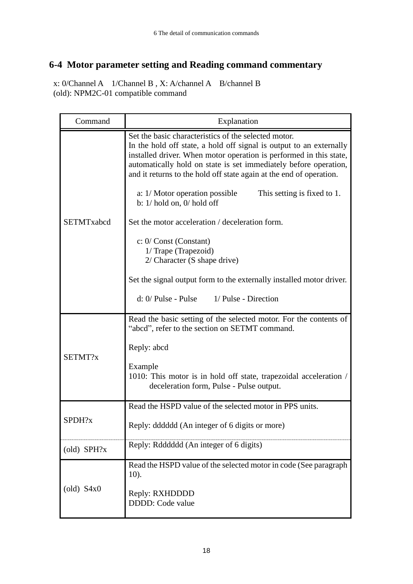## <span id="page-19-0"></span>**6-4 Motor parameter setting and Reading command commentary**

| Command                          | Explanation                                                                                                                                                                                                                                                                                                                                  |  |
|----------------------------------|----------------------------------------------------------------------------------------------------------------------------------------------------------------------------------------------------------------------------------------------------------------------------------------------------------------------------------------------|--|
|                                  | Set the basic characteristics of the selected motor.<br>In the hold off state, a hold off signal is output to an externally<br>installed driver. When motor operation is performed in this state,<br>automatically hold on state is set immediately before operation,<br>and it returns to the hold off state again at the end of operation. |  |
|                                  | a: 1/ Motor operation possible<br>This setting is fixed to 1.<br>b: $1/$ hold on, $0/$ hold off                                                                                                                                                                                                                                              |  |
| SETMTxabcd                       | Set the motor acceleration / deceleration form.                                                                                                                                                                                                                                                                                              |  |
|                                  | $\mathbf{c}: 0/\mathbf{Const}$ (Constant)<br>1/ Trape (Trapezoid)<br>$2/$ Character (S shape drive)                                                                                                                                                                                                                                          |  |
|                                  | Set the signal output form to the externally installed motor driver.                                                                                                                                                                                                                                                                         |  |
|                                  | $d: 0/$ Pulse - Pulse<br>1/ Pulse - Direction                                                                                                                                                                                                                                                                                                |  |
|                                  | Read the basic setting of the selected motor. For the contents of<br>"abcd", refer to the section on SETMT command.                                                                                                                                                                                                                          |  |
| SETMT?x                          | Reply: abcd                                                                                                                                                                                                                                                                                                                                  |  |
|                                  | Example<br>1010: This motor is in hold off state, trapezoidal acceleration /<br>deceleration form, Pulse - Pulse output.                                                                                                                                                                                                                     |  |
|                                  | Read the HSPD value of the selected motor in PPS units.                                                                                                                                                                                                                                                                                      |  |
| SPDH?x                           | Reply: dddddd (An integer of 6 digits or more)                                                                                                                                                                                                                                                                                               |  |
| $\text{(old)}$ SPH?x             | Reply: Rdddddd (An integer of 6 digits)                                                                                                                                                                                                                                                                                                      |  |
| $\left( \text{old} \right)$ S4x0 | Read the HSPD value of the selected motor in code (See paragraph)<br>$10$ ).                                                                                                                                                                                                                                                                 |  |
|                                  | Reply: RXHDDDD<br>DDDD: Code value                                                                                                                                                                                                                                                                                                           |  |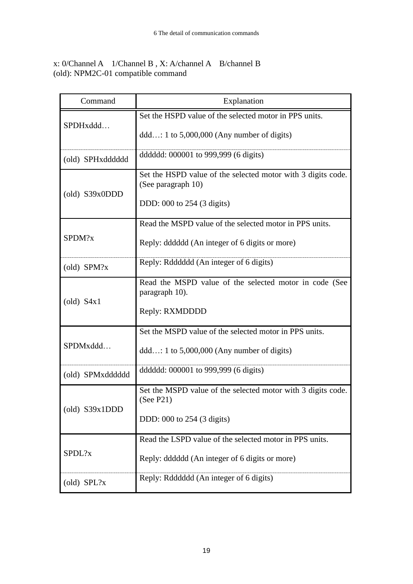| Command                     | Explanation                                                                                                      |
|-----------------------------|------------------------------------------------------------------------------------------------------------------|
| SPDHxddd                    | Set the HSPD value of the selected motor in PPS units.<br>$ddd: 1 to 5,000,000 (Any number of digits)$           |
| (old) SPHxdddddd            | ddddd: 000001 to 999,999 (6 digits)                                                                              |
| $\text{(old)}$ S39x0DDD     | Set the HSPD value of the selected motor with 3 digits code.<br>(See paragraph 10)<br>DDD: 000 to 254 (3 digits) |
| SPDM?x                      | Read the MSPD value of the selected motor in PPS units.<br>Reply: dddddd (An integer of 6 digits or more)        |
| (old) SPM?x                 | Reply: Rdddddd (An integer of 6 digits)                                                                          |
| $\left($ old $\right)$ S4x1 | Read the MSPD value of the selected motor in code (See<br>paragraph 10).<br>Reply: RXMDDDD                       |
| SPDMxddd                    | Set the MSPD value of the selected motor in PPS units.<br>$ddd: 1 to 5,000,000 (Any number of digits)$           |
| (old) SPMxdddddd            | ddddd: 000001 to 999,999 (6 digits)                                                                              |
| $\text{(old)}$ S39x1DDD     | Set the MSPD value of the selected motor with 3 digits code.<br>(See P21)<br>DDD: 000 to 254 (3 digits)          |
| SPDL?x                      | Read the LSPD value of the selected motor in PPS units.<br>Reply: dddddd (An integer of 6 digits or more)        |
| $\text{old}$ SPL?x          | Reply: Rdddddd (An integer of 6 digits)                                                                          |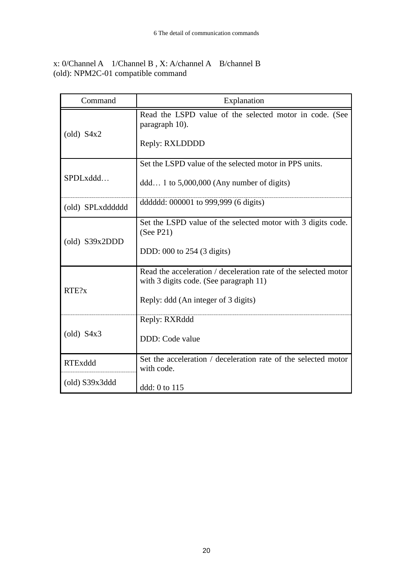| Command                              | Explanation                                                                                                                                      |
|--------------------------------------|--------------------------------------------------------------------------------------------------------------------------------------------------|
| $\left( \text{old} \right)$ S4x2     | Read the LSPD value of the selected motor in code. (See<br>paragraph 10).<br>Reply: RXLDDDD                                                      |
| SPDLxddd                             | Set the LSPD value of the selected motor in PPS units.<br>$ddd$ 1 to 5,000,000 (Any number of digits)                                            |
| (old) SPLxdddddd                     | ddddd: 000001 to 999,999 (6 digits)                                                                                                              |
| $\left( \text{old} \right)$ S39x2DDD | Set the LSPD value of the selected motor with 3 digits code.<br>(See P21)<br>DDD: 000 to 254 (3 digits)                                          |
| RTE?x                                | Read the acceleration / deceleration rate of the selected motor<br>with 3 digits code. (See paragraph 11)<br>Reply: ddd (An integer of 3 digits) |
| $\left( \text{old} \right)$ S4x3     | Reply: RXRddd<br>DDD: Code value                                                                                                                 |
| <b>RTExddd</b>                       | Set the acceleration / deceleration rate of the selected motor<br>with code.                                                                     |
| $\left( \text{old} \right)$ S39x3ddd | ddd: 0 to 115                                                                                                                                    |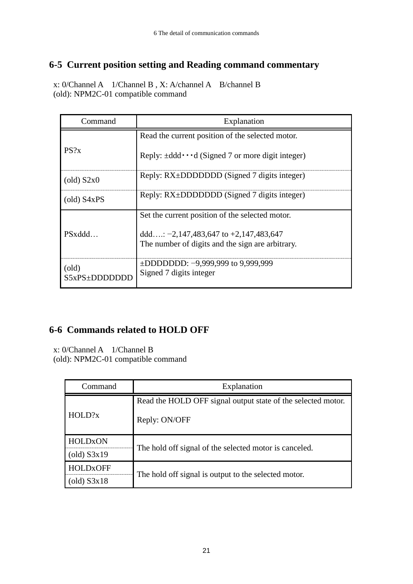## <span id="page-22-0"></span>**6-5 Current position setting and Reading command commentary**

x: 0/Channel A 1/Channel B , X: A/channel A B/channel B (old): NPM2C-01 compatible command

| Command                           | Explanation                                                                                   |
|-----------------------------------|-----------------------------------------------------------------------------------------------|
|                                   | Read the current position of the selected motor.                                              |
| PS?x                              | Reply: $\pm$ ddd $\cdot \cdot \cdot$ d (Signed 7 or more digit integer)                       |
| $\left( \text{old} \right)$ S2x0  | Reply: RX±DDDDDDD (Signed 7 digits integer)                                                   |
| $\left( \text{old} \right)$ S4xPS | Reply: RX±DDDDDDD (Signed 7 digits integer)                                                   |
|                                   | Set the current position of the selected motor.                                               |
| PSxddd                            | ddd: $-2,147,483,647$ to $+2,147,483,647$<br>The number of digits and the sign are arbitrary. |
| $\text{(old)}$<br>S5xPS±DDDDDD    | $\pm$ DDDDDD: -9,999,999 to 9,999,999<br>Signed 7 digits integer                              |

## <span id="page-22-1"></span>**6-6 Commands related to HOLD OFF**

| Command                           | Explanation                                                  |  |
|-----------------------------------|--------------------------------------------------------------|--|
| HOLD?x                            | Read the HOLD OFF signal output state of the selected motor. |  |
|                                   | Reply: ON/OFF                                                |  |
| <b>HOLDxON</b>                    |                                                              |  |
| $\left( \text{old} \right)$ S3x19 | The hold off signal of the selected motor is canceled.       |  |
| <b>HOLD<sub>x</sub>OFF</b>        | The hold off signal is output to the selected motor.         |  |
| $\left( \text{old} \right)$ S3x18 |                                                              |  |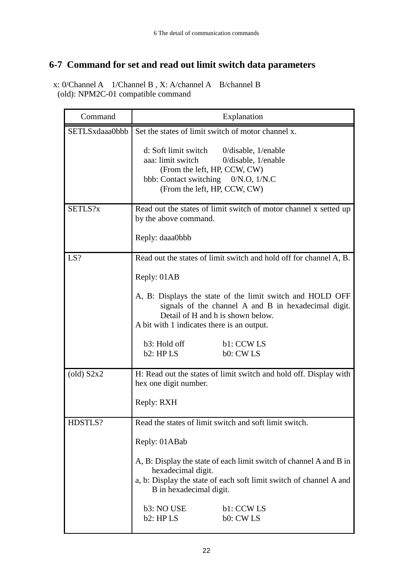## <span id="page-23-0"></span>**6-7 Command for set and read out limit switch data parameters**

| Command              | Explanation                                                                                                                                                                                                |  |
|----------------------|------------------------------------------------------------------------------------------------------------------------------------------------------------------------------------------------------------|--|
| SETLSxdaaa0bbb       | Set the states of limit switch of motor channel x.                                                                                                                                                         |  |
|                      | d: Soft limit switch<br>$0/di$ sable, $1/$ enable<br>aaa: limit switch<br>$0/di$ sable, $1/$ enable<br>(From the left, HP, CCW, CW)<br>bbb: Contact switching 0/N.O, 1/N.C<br>(From the left, HP, CCW, CW) |  |
| SETLS?x              | Read out the states of limit switch of motor channel x setted up<br>by the above command.                                                                                                                  |  |
|                      | Reply: daaa0bbb                                                                                                                                                                                            |  |
| LS?                  | Read out the states of limit switch and hold off for channel A, B.                                                                                                                                         |  |
|                      | Reply: 01AB                                                                                                                                                                                                |  |
|                      | A, B: Displays the state of the limit switch and HOLD OFF<br>signals of the channel A and B in hexadecimal digit.<br>Detail of H and h is shown below.<br>A bit with 1 indicates there is an output.       |  |
|                      | b3: Hold off<br>b1: CCW LS<br>b2: HPLS<br>b0: CWLS                                                                                                                                                         |  |
| $\left($ old) $S2x2$ | H: Read out the states of limit switch and hold off. Display with<br>hex one digit number.                                                                                                                 |  |
|                      | Reply: RXH                                                                                                                                                                                                 |  |
| HDSTLS?              | Read the states of limit switch and soft limit switch.                                                                                                                                                     |  |
|                      | Reply: 01ABab                                                                                                                                                                                              |  |
|                      | A, B: Display the state of each limit switch of channel A and B in<br>hexadecimal digit.<br>a, b: Display the state of each soft limit switch of channel A and<br>B in hexadecimal digit.                  |  |
|                      | b3: NO USE<br>b1: CCW LS<br>b2: HPLS<br>b0: CW LS                                                                                                                                                          |  |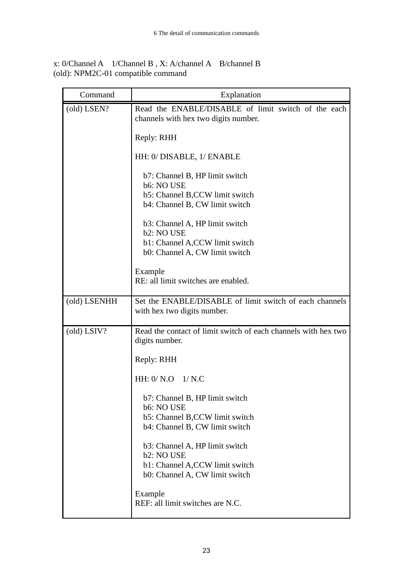| Command                           | Explanation                                                                                                                   |
|-----------------------------------|-------------------------------------------------------------------------------------------------------------------------------|
| (old) LSEN?                       | Read the ENABLE/DISABLE of limit switch of the each<br>channels with hex two digits number.                                   |
|                                   | Reply: RHH                                                                                                                    |
|                                   | HH: 0/ DISABLE, 1/ ENABLE                                                                                                     |
|                                   | b7: Channel B, HP limit switch<br>b6: NO USE<br>b5: Channel B,CCW limit switch<br>b4: Channel B, CW limit switch              |
|                                   | b3: Channel A, HP limit switch<br>b <sub>2</sub> : NO USE                                                                     |
|                                   | b1: Channel A,CCW limit switch<br>b0: Channel A, CW limit switch                                                              |
|                                   | Example<br>RE: all limit switches are enabled.                                                                                |
| (old) LSENHH                      | Set the ENABLE/DISABLE of limit switch of each channels<br>with hex two digits number.                                        |
| $\left( \text{old} \right)$ LSIV? | Read the contact of limit switch of each channels with hex two<br>digits number.                                              |
|                                   | Reply: RHH                                                                                                                    |
|                                   | HH: $0/ N.O$ 1/N.C                                                                                                            |
|                                   | b7: Channel B, HP limit switch<br>b6: NO USE<br>b5: Channel B,CCW limit switch<br>b4: Channel B, CW limit switch              |
|                                   | b3: Channel A, HP limit switch<br>b <sub>2</sub> : NO USE<br>b1: Channel A,CCW limit switch<br>b0: Channel A, CW limit switch |
|                                   | Example<br>REF: all limit switches are N.C.                                                                                   |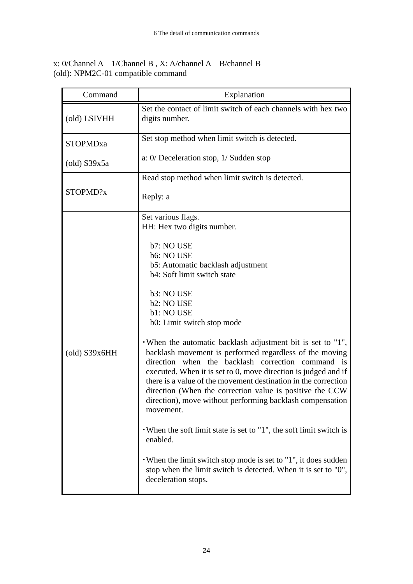| (old) LSIVHH<br>digits number.<br>STOPMDxa                                                                                         | Set the contact of limit switch of each channels with hex two<br>Set stop method when limit switch is detected.<br>a: $0/$ Deceleration stop, $1/$ Sudden stop                                                                                                                                                                                                                                                                                                                                                                                                                                                                                                                                                                                            |
|------------------------------------------------------------------------------------------------------------------------------------|-----------------------------------------------------------------------------------------------------------------------------------------------------------------------------------------------------------------------------------------------------------------------------------------------------------------------------------------------------------------------------------------------------------------------------------------------------------------------------------------------------------------------------------------------------------------------------------------------------------------------------------------------------------------------------------------------------------------------------------------------------------|
|                                                                                                                                    |                                                                                                                                                                                                                                                                                                                                                                                                                                                                                                                                                                                                                                                                                                                                                           |
|                                                                                                                                    |                                                                                                                                                                                                                                                                                                                                                                                                                                                                                                                                                                                                                                                                                                                                                           |
| $\left($ old) S39x5a                                                                                                               |                                                                                                                                                                                                                                                                                                                                                                                                                                                                                                                                                                                                                                                                                                                                                           |
|                                                                                                                                    | Read stop method when limit switch is detected.                                                                                                                                                                                                                                                                                                                                                                                                                                                                                                                                                                                                                                                                                                           |
| STOPMD?x<br>Reply: a                                                                                                               |                                                                                                                                                                                                                                                                                                                                                                                                                                                                                                                                                                                                                                                                                                                                                           |
| Set various flags.<br>HH: Hex two digits number.                                                                                   |                                                                                                                                                                                                                                                                                                                                                                                                                                                                                                                                                                                                                                                                                                                                                           |
| b7: NO USE<br>b6: NO USE<br>b3: NO USE<br>b2: NO USE<br>b1: NO USE<br>$\left( \text{old} \right)$ S39x6HH<br>movement.<br>enabled. | b5: Automatic backlash adjustment<br>b4: Soft limit switch state<br>b0: Limit switch stop mode<br>. When the automatic backlash adjustment bit is set to $"1"$ ,<br>backlash movement is performed regardless of the moving<br>direction when the backlash correction command is<br>executed. When it is set to 0, move direction is judged and if<br>there is a value of the movement destination in the correction<br>direction (When the correction value is positive the CCW<br>direction), move without performing backlash compensation<br>• When the soft limit state is set to "1", the soft limit switch is<br>• When the limit switch stop mode is set to "1", it does sudden<br>stop when the limit switch is detected. When it is set to "0", |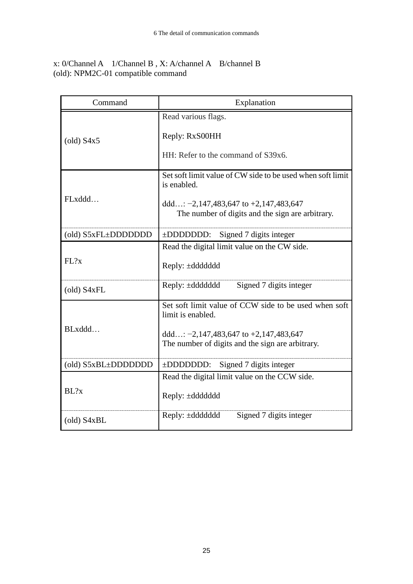| Command             | Explanation                                                                                                                                                                 |
|---------------------|-----------------------------------------------------------------------------------------------------------------------------------------------------------------------------|
| $\left($ old) S4x5  | Read various flags.<br>Reply: RxS00HH<br>HH: Refer to the command of S39x6.                                                                                                 |
|                     |                                                                                                                                                                             |
|                     | Set soft limit value of CW side to be used when soft limit<br>is enabled.                                                                                                   |
| FLxddd              | ddd: $-2,147,483,647$ to $+2,147,483,647$<br>The number of digits and the sign are arbitrary.                                                                               |
| (old) S5xFL±DDDDDDD | $\pm$ DDDDDDD:<br>Signed 7 digits integer                                                                                                                                   |
| FL?x                | Read the digital limit value on the CW side.<br>Reply: ±ddddddd                                                                                                             |
| (old) S4xFL         | Reply: $\pm$ ddddddd<br>Signed 7 digits integer                                                                                                                             |
| BLxddd              | Set soft limit value of CCW side to be used when soft<br>limit is enabled.<br>ddd: $-2,147,483,647$ to $+2,147,483,647$<br>The number of digits and the sign are arbitrary. |
|                     |                                                                                                                                                                             |
| (old) S5xBL±DDDDDDD | ±DDDDDDD: Signed 7 digits integer                                                                                                                                           |
| BL?x                | Read the digital limit value on the CCW side.<br>Reply: ±ddddddd                                                                                                            |
| (old) S4xBL         | Reply: ±ddddddd<br>Signed 7 digits integer                                                                                                                                  |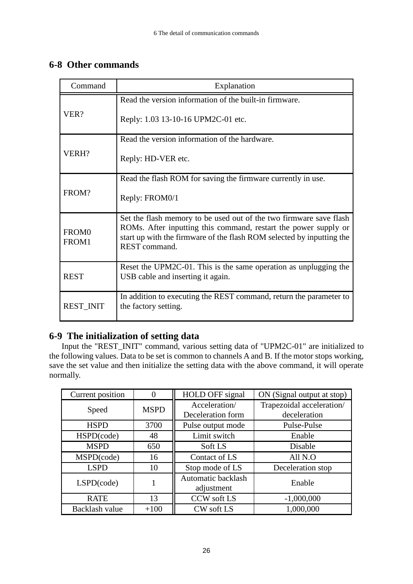## <span id="page-27-0"></span>**6-8 Other commands**

| Command                    | Explanation                                                                                                                                                                                                                     |
|----------------------------|---------------------------------------------------------------------------------------------------------------------------------------------------------------------------------------------------------------------------------|
| VER?                       | Read the version information of the built-in firmware.                                                                                                                                                                          |
|                            | Reply: 1.03 13-10-16 UPM2C-01 etc.                                                                                                                                                                                              |
|                            | Read the version information of the hardware.                                                                                                                                                                                   |
| VERH?                      | Reply: HD-VER etc.                                                                                                                                                                                                              |
| FROM?                      | Read the flash ROM for saving the firmware currently in use.                                                                                                                                                                    |
|                            | Reply: FROM0/1                                                                                                                                                                                                                  |
| FROM <sub>0</sub><br>FROM1 | Set the flash memory to be used out of the two firmware save flash<br>ROMs. After inputting this command, restart the power supply or<br>start up with the firmware of the flash ROM selected by inputting the<br>REST command. |
| <b>REST</b>                | Reset the UPM2C-01. This is the same operation as unplugging the<br>USB cable and inserting it again.                                                                                                                           |
| <b>REST_INIT</b>           | In addition to executing the REST command, return the parameter to<br>the factory setting.                                                                                                                                      |

## <span id="page-27-1"></span>**6-9 The initialization of setting data**

Input the "REST\_INIT" command, various setting data of "UPM2C-01" are initialized to the following values. Data to be set is common to channels A and B. If the motor stops working, save the set value and then initialize the setting data with the above command, it will operate normally.

| Current position | 0           | <b>HOLD OFF signal</b>             | ON (Signal output at stop)                |  |  |  |  |
|------------------|-------------|------------------------------------|-------------------------------------------|--|--|--|--|
| Speed            | <b>MSPD</b> | Acceleration/<br>Deceleration form | Trapezoidal acceleration/<br>deceleration |  |  |  |  |
| <b>HSPD</b>      | 3700        | Pulse output mode                  | Pulse-Pulse                               |  |  |  |  |
| HSPD(code)       | 48          | Limit switch                       | Enable                                    |  |  |  |  |
| <b>MSPD</b>      | 650         | Soft LS                            | Disable                                   |  |  |  |  |
| MSPD(code)       | 16          | Contact of LS                      | All N.O                                   |  |  |  |  |
| <b>LSPD</b>      | 10          | Stop mode of LS                    | Deceleration stop                         |  |  |  |  |
| $LSPD$ (code)    |             | Automatic backlash<br>adjustment   | Enable                                    |  |  |  |  |
| <b>RATE</b>      | 13          | <b>CCW</b> soft LS                 | $-1,000,000$                              |  |  |  |  |
| Backlash value   | $+100$      | <b>CW</b> soft LS                  | 1,000,000                                 |  |  |  |  |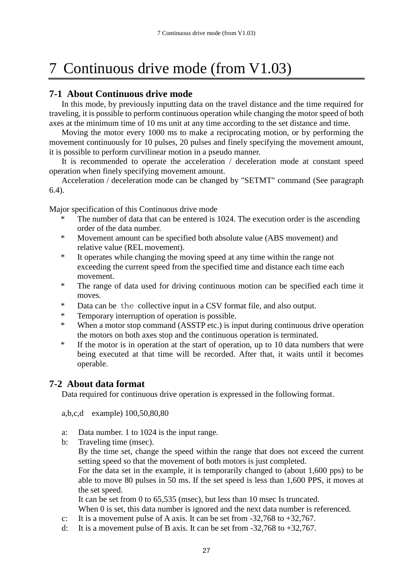## <span id="page-28-0"></span>7 Continuous drive mode (from V1.03)

### <span id="page-28-1"></span>**7-1 About Continuous drive mode**

In this mode, by previously inputting data on the travel distance and the time required for traveling, it is possible to perform continuous operation while changing the motor speed of both axes at the minimum time of 10 ms unit at any time according to the set distance and time.

Moving the motor every 1000 ms to make a reciprocating motion, or by performing the movement continuously for 10 pulses, 20 pulses and finely specifying the movement amount, it is possible to perform curvilinear motion in a pseudo manner.

It is recommended to operate the acceleration / deceleration mode at constant speed operation when finely specifying movement amount.

Acceleration / deceleration mode can be changed by "SETMT" command (See paragraph 6.4).

Major specification of this Continuous drive mode

- The number of data that can be entered is 1024. The execution order is the ascending order of the data number.
- \* Movement amount can be specified both absolute value (ABS movement) and relative value (REL movement).
- \* It operates while changing the moving speed at any time within the range not exceeding the current speed from the specified time and distance each time each movement.
- \* The range of data used for driving continuous motion can be specified each time it moves.
- \* Data can be the collective input in a CSV format file, and also output.
- \* Temporary interruption of operation is possible.
- \* When a motor stop command (ASSTP etc.) is input during continuous drive operation the motors on both axes stop and the continuous operation is terminated.
- \* If the motor is in operation at the start of operation, up to 10 data numbers that were being executed at that time will be recorded. After that, it waits until it becomes operable.

#### **7-2 About data format**

<span id="page-28-2"></span>Data required for continuous drive operation is expressed in the following format.

a,b,c,d example) 100,50,80,80

- a: Data number. 1 to 1024 is the input range.
- b: Traveling time (msec).

By the time set, change the speed within the range that does not exceed the current setting speed so that the movement of both motors is just completed.

For the data set in the example, it is temporarily changed to (about 1,600 pps) to be able to move 80 pulses in 50 ms. If the set speed is less than 1,600 PPS, it moves at the set speed.

It can be set from 0 to 65,535 (msec), but less than 10 msec Is truncated. When 0 is set, this data number is ignored and the next data number is referenced.

- c: It is a movement pulse of A axis. It can be set from  $-32,768$  to  $+32,767$ .
- d: It is a movement pulse of B axis. It can be set from  $-32,768$  to  $+32,767$ .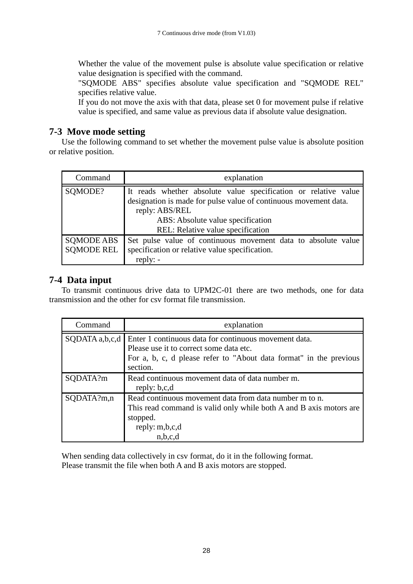Whether the value of the movement pulse is absolute value specification or relative value designation is specified with the command.

"SQMODE ABS" specifies absolute value specification and "SQMODE REL" specifies relative value.

If you do not move the axis with that data, please set 0 for movement pulse if relative value is specified, and same value as previous data if absolute value designation.

### <span id="page-29-0"></span>**7-3 Move mode setting**

Use the following command to set whether the movement pulse value is absolute position or relative position.

| Command                                | explanation                                                                                                                                                                                                                     |  |  |  |  |  |  |  |  |
|----------------------------------------|---------------------------------------------------------------------------------------------------------------------------------------------------------------------------------------------------------------------------------|--|--|--|--|--|--|--|--|
| SQMODE?                                | It reads whether absolute value specification or relative value<br>designation is made for pulse value of continuous movement data.<br>reply: ABS/REL<br>ABS: Absolute value specification<br>REL: Relative value specification |  |  |  |  |  |  |  |  |
| <b>SOMODE ABS</b><br><b>SQMODE REL</b> | Set pulse value of continuous movement data to absolute value<br>specification or relative value specification.<br>$reply: -$                                                                                                   |  |  |  |  |  |  |  |  |

### <span id="page-29-1"></span>**7-4 Data input**

To transmit continuous drive data to UPM2C-01 there are two methods, one for data transmission and the other for csv format file transmission.

| Command          | explanation                                                                                                                                                                        |  |  |  |  |  |  |  |
|------------------|------------------------------------------------------------------------------------------------------------------------------------------------------------------------------------|--|--|--|--|--|--|--|
| $SODATA$ a,b,c,d | Enter 1 continuous data for continuous movement data.<br>Please use it to correct some data etc.<br>For a, b, c, d please refer to "About data format" in the previous<br>section. |  |  |  |  |  |  |  |
| SQDATA?m         | Read continuous movement data of data number m.<br>reply: b,c,d                                                                                                                    |  |  |  |  |  |  |  |
| SQDATA?m,n       | Read continuous movement data from data number m to n.<br>This read command is valid only while both A and B axis motors are<br>stopped.<br>reply: m,b,c,d<br>n,b,c,d              |  |  |  |  |  |  |  |

When sending data collectively in csv format, do it in the following format. Please transmit the file when both A and B axis motors are stopped.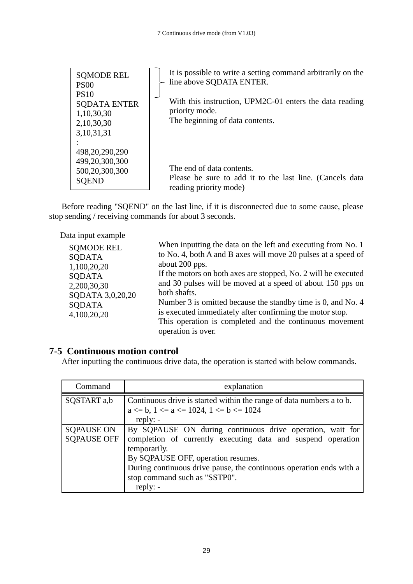| <b>SOMODE REL</b><br><b>PS00</b>                                                | It is possible to write a setting command arbitrarily on the<br>line above SQDATA ENTER.                        |
|---------------------------------------------------------------------------------|-----------------------------------------------------------------------------------------------------------------|
| <b>PS10</b><br><b>SQDATA ENTER</b><br>1,10,30,30<br>2,10,30,30<br>3, 10, 31, 31 | With this instruction, UPM2C-01 enters the data reading<br>priority mode.<br>The beginning of data contents.    |
| 498,20,290,290<br>499,20,300,300<br>500,20,300,300<br><b>SOEND</b>              | The end of data contents.<br>Please be sure to add it to the last line. (Cancels data<br>reading priority mode) |

Before reading "SQEND" on the last line, if it is disconnected due to some cause, please stop sending / receiving commands for about 3 seconds.

Data input example

| <b>SOMODE REL</b> | When inputting the data on the left and executing from No. 1   |
|-------------------|----------------------------------------------------------------|
| <b>SODATA</b>     | to No. 4, both A and B axes will move 20 pulses at a speed of  |
| 1,100,20,20       | about 200 pps.                                                 |
| <b>SODATA</b>     | If the motors on both axes are stopped, No. 2 will be executed |
| 2,200,30,30       | and 30 pulses will be moved at a speed of about 150 pps on     |
| SQDATA 3,0,20,20  | both shafts.                                                   |
| <b>SODATA</b>     | Number 3 is omitted because the standby time is 0, and No. 4   |
| 4,100,20,20       | is executed immediately after confirming the motor stop.       |
|                   | This operation is completed and the continuous movement        |
|                   | operation is over.                                             |

## **7-5 Continuous motion control**

<span id="page-30-0"></span>After inputting the continuous drive data, the operation is started with below commands.

| Command                                 | explanation                                                                                                                                                                                                                                                                                           |  |  |  |  |  |  |  |
|-----------------------------------------|-------------------------------------------------------------------------------------------------------------------------------------------------------------------------------------------------------------------------------------------------------------------------------------------------------|--|--|--|--|--|--|--|
| SQSTART a,b                             | Continuous drive is started within the range of data numbers a to b.<br>$a \leq b$ , $1 \leq a \leq 1024$ , $1 \leq b \leq 1024$<br>reply: $-$                                                                                                                                                        |  |  |  |  |  |  |  |
| <b>SQPAUSE ON</b><br><b>SQPAUSE OFF</b> | By SQPAUSE ON during continuous drive operation, wait for<br>completion of currently executing data and suspend operation<br>temporarily.<br>By SQPAUSE OFF, operation resumes.<br>During continuous drive pause, the continuous operation ends with a<br>stop command such as "SSTP0".<br>$reply: -$ |  |  |  |  |  |  |  |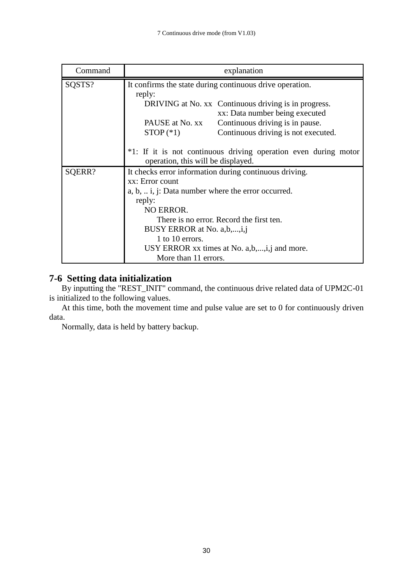| Command | explanation                                                                                           |                                     |  |  |  |  |  |  |  |
|---------|-------------------------------------------------------------------------------------------------------|-------------------------------------|--|--|--|--|--|--|--|
| SQSTS?  | It confirms the state during continuous drive operation.<br>reply:                                    |                                     |  |  |  |  |  |  |  |
|         | DRIVING at No. xx Continuous driving is in progress.<br>xx: Data number being executed                |                                     |  |  |  |  |  |  |  |
|         | PAUSE at No. xx                                                                                       | Continuous driving is in pause.     |  |  |  |  |  |  |  |
|         | $STOP (*1)$                                                                                           | Continuous driving is not executed. |  |  |  |  |  |  |  |
|         | *1: If it is not continuous driving operation even during motor<br>operation, this will be displayed. |                                     |  |  |  |  |  |  |  |
| SQERR?  | It checks error information during continuous driving.                                                |                                     |  |  |  |  |  |  |  |
|         | xx: Error count                                                                                       |                                     |  |  |  |  |  |  |  |
|         | a, b, $\ldots$ i, j: Data number where the error occurred.                                            |                                     |  |  |  |  |  |  |  |
|         | reply:                                                                                                |                                     |  |  |  |  |  |  |  |
|         | NO ERROR.                                                                                             |                                     |  |  |  |  |  |  |  |
|         | There is no error. Record the first ten.                                                              |                                     |  |  |  |  |  |  |  |
|         | BUSY ERROR at No. a,b,,i,j                                                                            |                                     |  |  |  |  |  |  |  |
|         | 1 to 10 errors.                                                                                       |                                     |  |  |  |  |  |  |  |
|         | USY ERROR xx times at No. a,b,,i,j and more.                                                          |                                     |  |  |  |  |  |  |  |
|         | More than 11 errors.                                                                                  |                                     |  |  |  |  |  |  |  |

## <span id="page-31-0"></span>**7-6 Setting data initialization**

By inputting the "REST\_INIT" command, the continuous drive related data of UPM2C-01 is initialized to the following values.

At this time, both the movement time and pulse value are set to 0 for continuously driven data.

Normally, data is held by battery backup.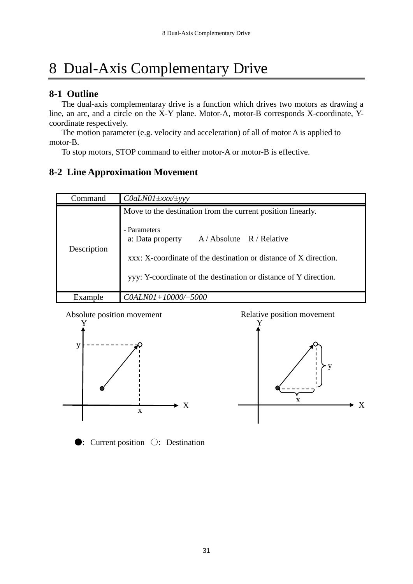# <span id="page-32-0"></span>8 Dual-Axis Complementary Drive

### <span id="page-32-1"></span>**8-1 Outline**

The dual-axis complementaray drive is a function which drives two motors as drawing a line, an arc, and a circle on the X-Y plane. Motor-A, motor-B corresponds X-coordinate, Ycoordinate respectively.

The motion parameter (e.g. velocity and acceleration) of all of motor A is applied to motor-B.

To stop motors, STOP command to either motor-A or motor-B is effective.

## <span id="page-32-2"></span>**8-2 Line Approximation Movement**

| Command     | $\text{Co}\text{d} \text{L} \text{NO}\text{1} \pm \text{xxx} / \pm \text{y} \text{y}$                                                                                                                                                                                  |
|-------------|------------------------------------------------------------------------------------------------------------------------------------------------------------------------------------------------------------------------------------------------------------------------|
| Description | Move to the destination from the current position linearly.<br>- Parameters<br>a: Data property<br>$A / Absolute$ R / Relative<br>xxx: X-coordinate of the destination or distance of X direction.<br>yyy: Y-coordinate of the destination or distance of Y direction. |
| Example     | $COALNO1+10000/-5000$                                                                                                                                                                                                                                                  |







●: Current position ○: Destination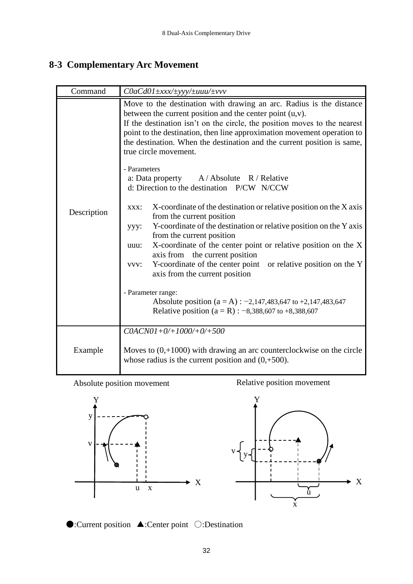## <span id="page-33-0"></span>**8-3 Complementary Arc Movement**

| Command     | C0aCd01 ±xxx/±yyy/±uuu/±vvv                                                                                                                                                                                                                                                                                                                                                                                                                                                                                                                                                                                                                                                                                                                                                                                                                                                                                                                                                                                                                                                                                       |
|-------------|-------------------------------------------------------------------------------------------------------------------------------------------------------------------------------------------------------------------------------------------------------------------------------------------------------------------------------------------------------------------------------------------------------------------------------------------------------------------------------------------------------------------------------------------------------------------------------------------------------------------------------------------------------------------------------------------------------------------------------------------------------------------------------------------------------------------------------------------------------------------------------------------------------------------------------------------------------------------------------------------------------------------------------------------------------------------------------------------------------------------|
| Description | Move to the destination with drawing an arc. Radius is the distance<br>between the current position and the center point $(u, v)$ .<br>If the destination isn't on the circle, the position moves to the nearest<br>point to the destination, then line approximation movement operation to<br>the destination. When the destination and the current position is same,<br>true circle movement.<br>- Parameters<br>a: Data property $A / Absolute$ R / Relative<br>d: Direction to the destination P/CW N/CCW<br>X-coordinate of the destination or relative position on the X axis<br>XXX:<br>from the current position<br>Y-coordinate of the destination or relative position on the Y axis<br>ууу:<br>from the current position<br>X-coordinate of the center point or relative position on the X<br>uuu:<br>axis from the current position<br>Y-coordinate of the center point or relative position on the Y<br>VVV:<br>axis from the current position<br>- Parameter range:<br>Absolute position ( $a = A$ ) : -2,147,483,647 to +2,147,483,647<br>Relative position ( $a = R$ ) : -8,388,607 to +8,388,607 |
| Example     | $COACNO1+0/+1000/+0/+500$<br>Moves to $(0,+1000)$ with drawing an arc counterclockwise on the circle<br>whose radius is the current position and $(0, +500)$ .                                                                                                                                                                                                                                                                                                                                                                                                                                                                                                                                                                                                                                                                                                                                                                                                                                                                                                                                                    |

Absolute position movement

Relative position movement





●:Current position ▲:Center point ○:Destination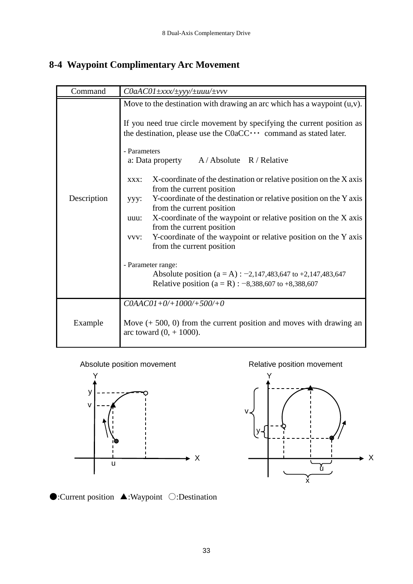## <span id="page-34-0"></span>**8-4 Waypoint Complimentary Arc Movement**

| Command     | $COaAC01 \pm$ xxx/ $\pm$ yyy/ $\pm$ uuu/ $\pm$ vyv                                                                                                                                                                                                                                                                                                                                                                                                                                                                                                                                                                                                                                                                                                                                                                                                                                           |  |  |  |  |  |  |  |  |
|-------------|----------------------------------------------------------------------------------------------------------------------------------------------------------------------------------------------------------------------------------------------------------------------------------------------------------------------------------------------------------------------------------------------------------------------------------------------------------------------------------------------------------------------------------------------------------------------------------------------------------------------------------------------------------------------------------------------------------------------------------------------------------------------------------------------------------------------------------------------------------------------------------------------|--|--|--|--|--|--|--|--|
| Description | Move to the destination with drawing an arc which has a waypoint $(u, v)$ .<br>If you need true circle movement by specifying the current position as<br>the destination, please use the $CoaCC \cdots$ command as stated later.<br>- Parameters<br>a: Data property $A / Absolute$ R / Relative<br>X-coordinate of the destination or relative position on the X axis<br>XXX:<br>from the current position<br>Y-coordinate of the destination or relative position on the Y axis<br>$yyy$ :<br>from the current position<br>X-coordinate of the waypoint or relative position on the X axis<br>uuu:<br>from the current position<br>vvv: Y-coordinate of the waypoint or relative position on the Y axis<br>from the current position<br>- Parameter range:<br>Absolute position (a = A) : $-2,147,483,647$ to $+2,147,483,647$<br>Relative position ( $a = R$ ) : -8,388,607 to +8,388,607 |  |  |  |  |  |  |  |  |
| Example     | $COAACO1+0/+1000/+500/+0$<br>Move $(+ 500, 0)$ from the current position and moves with drawing an<br>arc toward $(0, +1000)$ .                                                                                                                                                                                                                                                                                                                                                                                                                                                                                                                                                                                                                                                                                                                                                              |  |  |  |  |  |  |  |  |

Absolute position movement



Relative position movement



●:Current position ▲:Waypoint ○:Destination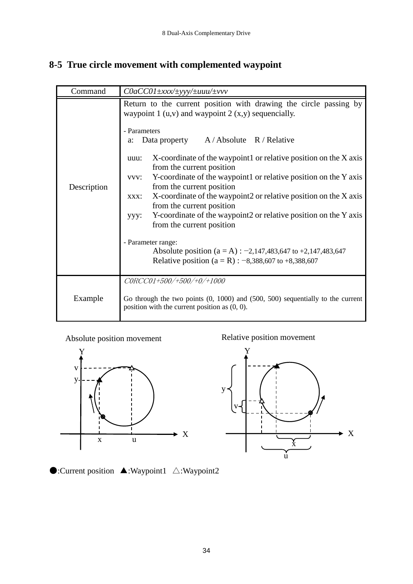## <span id="page-35-0"></span>**8-5 True circle movement with complemented waypoint**

| Command     | $CoaCCO1 \pm$ xxx/ $\pm$ yyy/ $\pm$ uuu/ $\pm$ vvv                                                                                                                                                                                                                                                                                                                                                                                                                                                                                                                                                                                                                                                                                                                                  |
|-------------|-------------------------------------------------------------------------------------------------------------------------------------------------------------------------------------------------------------------------------------------------------------------------------------------------------------------------------------------------------------------------------------------------------------------------------------------------------------------------------------------------------------------------------------------------------------------------------------------------------------------------------------------------------------------------------------------------------------------------------------------------------------------------------------|
| Description | Return to the current position with drawing the circle passing by<br>waypoint 1 $(u, v)$ and waypoint 2 $(x, y)$ sequencially.<br>- Parameters<br>Data property A/Absolute R/Relative<br>a:<br>X-coordinate of the waypoint1 or relative position on the X axis<br>uuu:<br>from the current position<br>vvv: Y-coordinate of the waypoint1 or relative position on the Y axis<br>from the current position<br>X-coordinate of the waypoint2 or relative position on the X axis<br>XXX:<br>from the current position<br>Y-coordinate of the waypoint 2 or relative position on the Y axis<br>yyy:<br>from the current position<br>- Parameter range:<br>Absolute position ( $a = A$ ) : -2,147,483,647 to +2,147,483,647<br>Relative position ( $a = R$ ) : -8,388,607 to +8,388,607 |
| Example     | CORCC01+500/+500/+0/+1000<br>Go through the two points $(0, 1000)$ and $(500, 500)$ sequentially to the current<br>position with the current position as $(0, 0)$ .                                                                                                                                                                                                                                                                                                                                                                                                                                                                                                                                                                                                                 |

Absolute position movement

Relative position movement





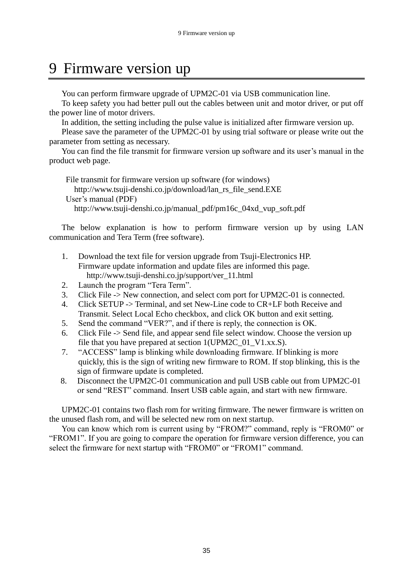## <span id="page-36-0"></span>9 Firmware version up

You can perform firmware upgrade of UPM2C-01 via USB communication line.

To keep safety you had better pull out the cables between unit and motor driver, or put off the power line of motor drivers.

In addition, the setting including the pulse value is initialized after firmware version up.

Please save the parameter of the UPM2C-01 by using trial software or please write out the parameter from setting as necessary.

You can find the file transmit for firmware version up software and its user's manual in the product web page.

File transmit for firmware version up software (for windows) http://www.tsuji-denshi.co.jp/download/lan\_rs\_file\_send.EXE User's manual (PDF) http://www.tsuji-denshi.co.jp/manual\_pdf/pm16c\_04xd\_vup\_soft.pdf

The below explanation is how to perform firmware version up by using LAN communication and Tera Term (free software).

- 1. Download the text file for version upgrade from Tsuji-Electronics HP. Firmware update information and update files are informed this page. http://www.tsuji-denshi.co.jp/support/ver\_11.html
- 2. Launch the program "Tera Term".
- 3. Click File -> New connection, and select com port for UPM2C-01 is connected.
- 4. Click SETUP -> Terminal, and set New-Line code to CR+LF both Receive and Transmit. Select Local Echo checkbox, and click OK button and exit setting.
- 5. Send the command "VER?", and if there is reply, the connection is OK.
- 6. Click File -> Send file, and appear send file select window. Choose the version up file that you have prepared at section 1(UPM2C\_01\_V1.xx.S).
- 7. "ACCESS" lamp is blinking while downloading firmware. If blinking is more quickly, this is the sign of writing new firmware to ROM. If stop blinking, this is the sign of firmware update is completed.
- 8. Disconnect the UPM2C-01 communication and pull USB cable out from UPM2C-01 or send "REST" command. Insert USB cable again, and start with new firmware.

UPM2C-01 contains two flash rom for writing firmware. The newer firmware is written on the unused flash rom, and will be selected new rom on next startup.

You can know which rom is current using by "FROM?" command, reply is "FROM0" or "FROM1". If you are going to compare the operation for firmware version difference, you can select the firmware for next startup with "FROM0" or "FROM1" command.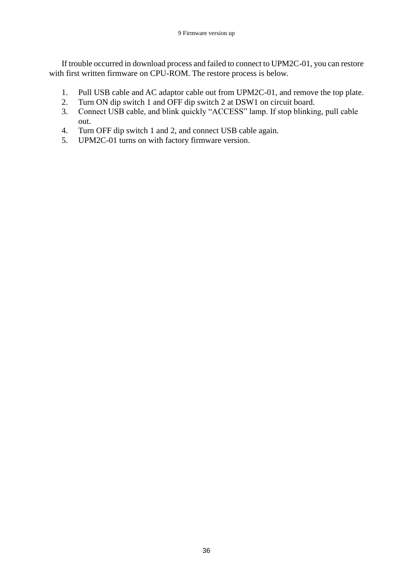If trouble occurred in download process and failed to connect to UPM2C-01, you can restore with first written firmware on CPU-ROM. The restore process is below.

- 1. Pull USB cable and AC adaptor cable out from UPM2C-01, and remove the top plate.
- 2. Turn ON dip switch 1 and OFF dip switch 2 at DSW1 on circuit board.
- 3. Connect USB cable, and blink quickly "ACCESS" lamp. If stop blinking, pull cable out.
- 4. Turn OFF dip switch 1 and 2, and connect USB cable again.
- 5. UPM2C-01 turns on with factory firmware version.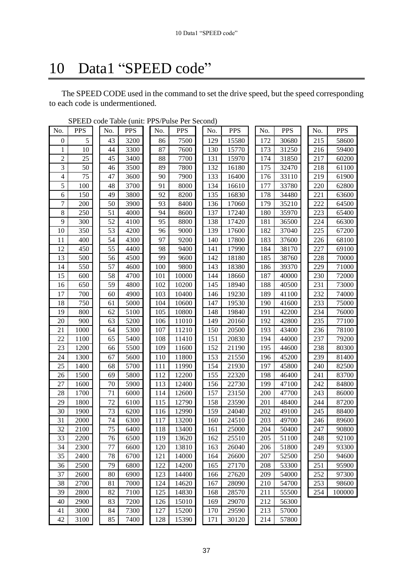# <span id="page-38-0"></span>10 Data1 "SPEED code"

The SPEED CODE used in the command to set the drive speed, but the speed corresponding to each code is undermentioned.

| No.              | <b>PPS</b> | No. | <b>PPS</b> | No. | <b>PPS</b> | No. | <b>PPS</b> | No. | <b>PPS</b> | No. | <b>PPS</b> |
|------------------|------------|-----|------------|-----|------------|-----|------------|-----|------------|-----|------------|
| $\boldsymbol{0}$ | 5          | 43  | 3200       | 86  | 7500       | 129 | 15580      | 172 | 30680      | 215 | 58600      |
| 1                | 10         | 44  | 3300       | 87  | 7600       | 130 | 15770      | 173 | 31250      | 216 | 59400      |
| $\overline{c}$   | 25         | 45  | 3400       | 88  | 7700       | 131 | 15970      | 174 | 31850      | 217 | 60200      |
| 3                | 50         | 46  | 3500       | 89  | 7800       | 132 | 16180      | 175 | 32470      | 218 | 61100      |
| 4                | 75         | 47  | 3600       | 90  | 7900       | 133 | 16400      | 176 | 33110      | 219 | 61900      |
| 5                | 100        | 48  | 3700       | 91  | 8000       | 134 | 16610      | 177 | 33780      | 220 | 62800      |
| $\overline{6}$   | 150        | 49  | 3800       | 92  | 8200       | 135 | 16830      | 178 | 34480      | 221 | 63600      |
| 7                | 200        | 50  | 3900       | 93  | 8400       | 136 | 17060      | 179 | 35210      | 222 | 64500      |
| 8                | 250        | 51  | 4000       | 94  | 8600       | 137 | 17240      | 180 | 35970      | 223 | 65400      |
| 9                | 300        | 52  | 4100       | 95  | 8800       | 138 | 17420      | 181 | 36500      | 224 | 66300      |
| 10               | 350        | 53  | 4200       | 96  | 9000       | 139 | 17600      | 182 | 37040      | 225 | 67200      |
| 11               | 400        | 54  | 4300       | 97  | 9200       | 140 | 17800      | 183 | 37600      | 226 | 68100      |
| 12               | 450        | 55  | 4400       | 98  | 9400       | 141 | 17990      | 184 | 38170      | 227 | 69100      |
| 13               | 500        | 56  | 4500       | 99  | 9600       | 142 | 18180      | 185 | 38760      | 228 | 70000      |
| 14               | 550        | 57  | 4600       | 100 | 9800       | 143 | 18380      | 186 | 39370      | 229 | 71000      |
| 15               | 600        | 58  | 4700       | 101 | 10000      | 144 | 18660      | 187 | 40000      | 230 | 72000      |
| 16               | 650        | 59  | 4800       | 102 | 10200      | 145 | 18940      | 188 | 40500      | 231 | 73000      |
| 17               | 700        | 60  | 4900       | 103 | 10400      | 146 | 19230      | 189 | 41100      | 232 | 74000      |
| 18               | 750        | 61  | 5000       | 104 | 10600      | 147 | 19530      | 190 | 41600      | 233 | 75000      |
| 19               | 800        | 62  | 5100       | 105 | 10800      | 148 | 19840      | 191 | 42200      | 234 | 76000      |
| 20               | 900        | 63  | 5200       | 106 | 11010      | 149 | 20160      | 192 | 42800      | 235 | 77100      |
| 21               | 1000       | 64  | 5300       | 107 | 11210      | 150 | 20500      | 193 | 43400      | 236 | 78100      |
| 22               | 1100       | 65  | 5400       | 108 | 11410      | 151 | 20830      | 194 | 44000      | 237 | 79200      |
| 23               | 1200       | 66  | 5500       | 109 | 11600      | 152 | 21190      | 195 | 44600      | 238 | 80300      |
| 24               | 1300       | 67  | 5600       | 110 | 11800      | 153 | 21550      | 196 | 45200      | 239 | 81400      |
| 25               | 1400       | 68  | 5700       | 111 | 11990      | 154 | 21930      | 197 | 45800      | 240 | 82500      |
| 26               | 1500       | 69  | 5800       | 112 | 12200      | 155 | 22320      | 198 | 46400      | 241 | 83700      |
| 27               | 1600       | 70  | 5900       | 113 | 12400      | 156 | 22730      | 199 | 47100      | 242 | 84800      |
| 28               | 1700       | 71  | 6000       | 114 | 12600      | 157 | 23150      | 200 | 47700      | 243 | 86000      |
| 29               | 1800       | 72  | 6100       | 115 | 12790      | 158 | 23590      | 201 | 48400      | 244 | 87200      |
| 30               | 1900       | 73  | 6200       | 116 | 12990      | 159 | 24040      | 202 | 49100      | 245 | 88400      |
| 31               | 2000       | 74  | 6300       | 117 | 13200      | 160 | 24510      | 203 | 49700      | 246 | 89600      |
| 32               | 2100       | 75  | 6400       | 118 | 13400      | 161 | 25000      | 204 | 50400      | 247 | 90800      |
| 33               | 2200       | 76  | 6500       | 119 | 13620      | 162 | 25510      | 205 | 51100      | 248 | 92100      |
| 34               | 2300       | 77  | 6600       | 120 | 13810      | 163 | 26040      | 206 | 51800      | 249 | 93300      |
| 35               | 2400       | 78  | 6700       | 121 | 14000      | 164 | 26600      | 207 | 52500      | 250 | 94600      |
| 36               | 2500       | 79  | 6800       | 122 | 14200      | 165 | 27170      | 208 | 53300      | 251 | 95900      |
| 37               | 2600       | 80  | 6900       | 123 | 14400      | 166 | 27620      | 209 | 54000      | 252 | 97300      |
| 38               | 2700       | 81  | 7000       | 124 | 14620      | 167 | 28090      | 210 | 54700      | 253 | 98600      |
| 39               | 2800       | 82  | 7100       | 125 | 14830      | 168 | 28570      | 211 | 55500      | 254 | 100000     |
| 40               | 2900       | 83  | 7200       | 126 | 15010      | 169 | 29070      | 212 | 56300      |     |            |
| 41               | 3000       | 84  | 7300       | 127 | 15200      | 170 | 29590      | 213 | 57000      |     |            |
| 42               | 3100       | 85  | 7400       | 128 | 15390      | 171 | 30120      | 214 | 57800      |     |            |

SPEED code Table (unit: PPS/Pulse Per Second)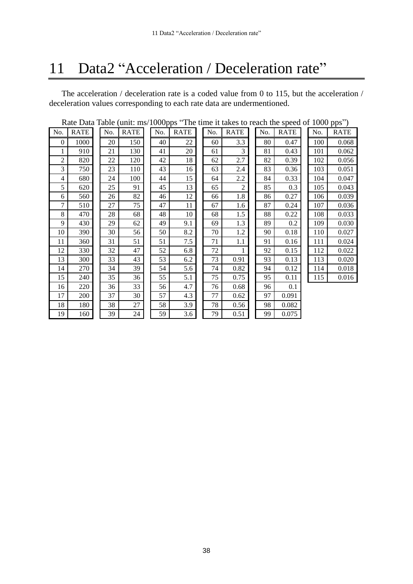## <span id="page-39-0"></span>11 Data2 "Acceleration / Deceleration rate"

The acceleration / deceleration rate is a coded value from 0 to 115, but the acceleration / deceleration values corresponding to each rate data are undermentioned.

|  | Rate Data Table (unit: ms/1000pps "The time it takes to reach the speed of 1000 pps") |  |  |  |  |  |  |  |  |
|--|---------------------------------------------------------------------------------------|--|--|--|--|--|--|--|--|
|  | Ly DATELLY DATELLY DATELLY DATELLY DATELLY DATE                                       |  |  |  |  |  |  |  |  |

| Rate Data Table (unit: ms/1000pps "The time it takes to reach the speed of 1000 pps") |             |  |     |             |  |     |             |  |     |                |     |             |     |             |
|---------------------------------------------------------------------------------------|-------------|--|-----|-------------|--|-----|-------------|--|-----|----------------|-----|-------------|-----|-------------|
| No.                                                                                   | <b>RATE</b> |  | No. | <b>RATE</b> |  | No. | <b>RATE</b> |  | No. | <b>RATE</b>    | No. | <b>RATE</b> | No. | <b>RATE</b> |
| $\mathbf{0}$                                                                          | 1000        |  | 20  | 150         |  | 40  | 22          |  | 60  | 3.3            | 80  | 0.47        | 100 | 0.068       |
|                                                                                       | 910         |  | 21  | 130         |  | 41  | 20          |  | 61  | 3              | 81  | 0.43        | 101 | 0.062       |
| $\overline{c}$                                                                        | 820         |  | 22  | 120         |  | 42  | 18          |  | 62  | 2.7            | 82  | 0.39        | 102 | 0.056       |
| 3                                                                                     | 750         |  | 23  | 110         |  | 43  | 16          |  | 63  | 2.4            | 83  | 0.36        | 103 | 0.051       |
| 4                                                                                     | 680         |  | 24  | 100         |  | 44  | 15          |  | 64  | 2.2            | 84  | 0.33        | 104 | 0.047       |
| 5                                                                                     | 620         |  | 25  | 91          |  | 45  | 13          |  | 65  | $\overline{c}$ | 85  | 0.3         | 105 | 0.043       |
| 6                                                                                     | 560         |  | 26  | 82          |  | 46  | 12          |  | 66  | 1.8            | 86  | 0.27        | 106 | 0.039       |
| 7                                                                                     | 510         |  | 27  | 75          |  | 47  | 11          |  | 67  | 1.6            | 87  | 0.24        | 107 | 0.036       |
| 8                                                                                     | 470         |  | 28  | 68          |  | 48  | 10          |  | 68  | 1.5            | 88  | 0.22        | 108 | 0.033       |
| 9                                                                                     | 430         |  | 29  | 62          |  | 49  | 9.1         |  | 69  | 1.3            | 89  | 0.2         | 109 | 0.030       |
| 10                                                                                    | 390         |  | 30  | 56          |  | 50  | 8.2         |  | 70  | 1.2            | 90  | 0.18        | 110 | 0.027       |
| 11                                                                                    | 360         |  | 31  | 51          |  | 51  | 7.5         |  | 71  | 1.1            | 91  | 0.16        | 111 | 0.024       |
| 12                                                                                    | 330         |  | 32  | 47          |  | 52  | 6.8         |  | 72  |                | 92  | 0.15        | 112 | 0.022       |
| 13                                                                                    | 300         |  | 33  | 43          |  | 53  | 6.2         |  | 73  | 0.91           | 93  | 0.13        | 113 | 0.020       |
| 14                                                                                    | 270         |  | 34  | 39          |  | 54  | 5.6         |  | 74  | 0.82           | 94  | 0.12        | 114 | 0.018       |
| 15                                                                                    | 240         |  | 35  | 36          |  | 55  | 5.1         |  | 75  | 0.75           | 95  | 0.11        | 115 | 0.016       |
| 16                                                                                    | 220         |  | 36  | 33          |  | 56  | 4.7         |  | 76  | 0.68           | 96  | 0.1         |     |             |
| 17                                                                                    | 200         |  | 37  | 30          |  | 57  | 4.3         |  | 77  | 0.62           | 97  | 0.091       |     |             |
| 18                                                                                    | 180         |  | 38  | 27          |  | 58  | 3.9         |  | 78  | 0.56           | 98  | 0.082       |     |             |
| 19                                                                                    | 160         |  | 39  | 24          |  | 59  | 3.6         |  | 79  | 0.51           | 99  | 0.075       |     |             |